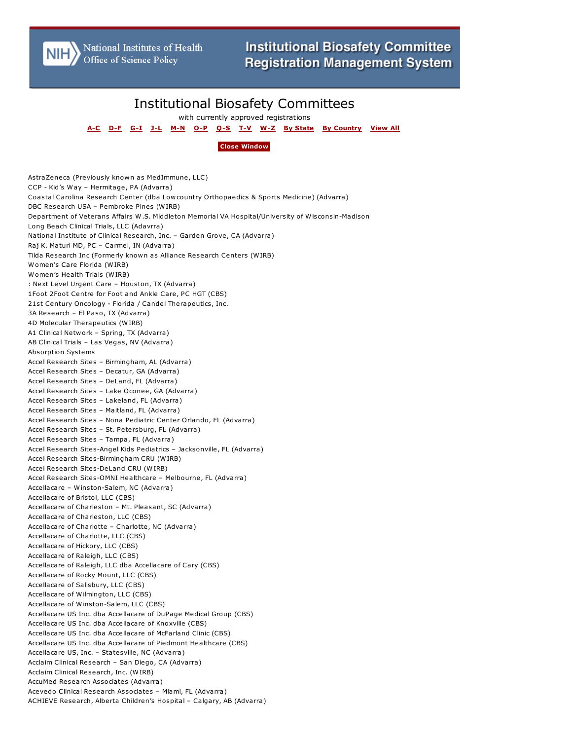National Institutes of Health<br>Office of Science Policy

## Institutional Biosafety Committees

with currently approved registrations

**[A-C](/Contents/IBC_LIST_REPORT.aspx?range=A-C) [D-F](/Contents/IBC_LIST_REPORT.aspx?range=D-F) [G-I](/Contents/IBC_LIST_REPORT.aspx?range=G-I) [J-L](/Contents/IBC_LIST_REPORT.aspx?range=J-L) [M-N](/Contents/IBC_LIST_REPORT.aspx?range=M-N) [O-P](/Contents/IBC_LIST_REPORT.aspx?range=O-P) [Q-S](/Contents/IBC_LIST_REPORT.aspx?range=Q-S) [T-V](/Contents/IBC_LIST_REPORT.aspx?range=T-V) [W-Z](/Contents/IBC_LIST_REPORT.aspx?range=W-Z) By [State](/Contents/IBC_LIST_REPORT.aspx?range=state) By [Country](/Contents/IBC_LIST_REPORT.aspx?range=intl) [View](/Contents/IBC_LIST_REPORT.aspx) All**

## **Close [Window](javascript:window.open()**

AstraZeneca (Previously known as MedImmune, LLC) CCP - Kid's Way – Hermitage, PA (Advarra) Coastal Carolina Research Center (dba Lowcountry Orthopaedics & Sports Medicine) (Advarra) DBC Research USA – Pembroke Pines (WIRB) Department of Veterans Affairs W.S. Middleton Memorial VA Hospital/University of Wisconsin-Madison Long Beach Clinical Trials, LLC (Adavrra) National Institute of Clinical Research, Inc. – Garden Grove, CA (Advarra) Raj K. Maturi MD, PC – Carmel, IN (Advarra) Tilda Research Inc (Formerly known as Alliance Research Centers (WIRB) Women's Care Florida (WIRB) Women's Health Trials (WIRB) : Next Level Urgent Care – Houston, TX (Advarra) 1Foot 2Foot Centre for Foot and Ankle Care, PC HGT (CBS) 21st Century Oncology - Florida / Candel Therapeutics, Inc. 3A Research – El Paso, TX (Advarra) 4D Molecular Therapeutics (WIRB) A1 Clinical Network – Spring, TX (Advarra) AB Clinical Trials – Las Vegas, NV (Advarra) Absorption Systems Accel Research Sites – Birmingham, AL (Advarra) Accel Research Sites – Decatur, GA (Advarra) Accel Research Sites – DeLand, FL (Advarra) Accel Research Sites – Lake Oconee, GA (Advarra) Accel Research Sites – Lakeland, FL (Advarra) Accel Research Sites – Maitland, FL (Advarra) Accel Research Sites – Nona Pediatric Center Orlando, FL (Advarra) Accel Research Sites – St. Petersburg, FL (Advarra) Accel Research Sites – Tampa, FL (Advarra) Accel Research Sites-Angel Kids Pediatrics – Jacksonville, FL (Advarra) Accel Research Sites-Birmingham CRU (WIRB) Accel Research Sites-DeLand CRU (WIRB) Accel Research Sites-OMNI Healthcare – Melbourne, FL (Advarra) Accellacare – Winston-Salem, NC (Advarra) Accellacare of Bristol, LLC (CBS) Accellacare of Charleston – Mt. Pleasant, SC (Advarra) Accellacare of Charleston, LLC (CBS) Accellacare of Charlotte – Charlotte, NC (Advarra) Accellacare of Charlotte, LLC (CBS) Accellacare of Hickory, LLC (CBS) Accellacare of Raleigh, LLC (CBS) Accellacare of Raleigh, LLC dba Accellacare of Cary (CBS) Accellacare of Rocky Mount, LLC (CBS) Accellacare of Salisbury, LLC (CBS) Accellacare of Wilmington, LLC (CBS) Accellacare of Winston-Salem, LLC (CBS) Accellacare US Inc. dba Accellacare of DuPage Medical Group (CBS) Accellacare US Inc. dba Accellacare of Knoxville (CBS) Accellacare US Inc. dba Accellacare of McFarland Clinic (CBS) Accellacare US Inc. dba Accellacare of Piedmont Healthcare (CBS) Accellacare US, Inc. – Statesville, NC (Advarra) Acclaim Clinical Research – San Diego, CA (Advarra) Acclaim Clinical Research, Inc. (WIRB) AccuMed Research Associates (Advarra) Acevedo Clinical Research Associates – Miami, FL (Advarra) ACHIEVE Research, Alberta Children's Hospital – Calgary, AB (Advarra)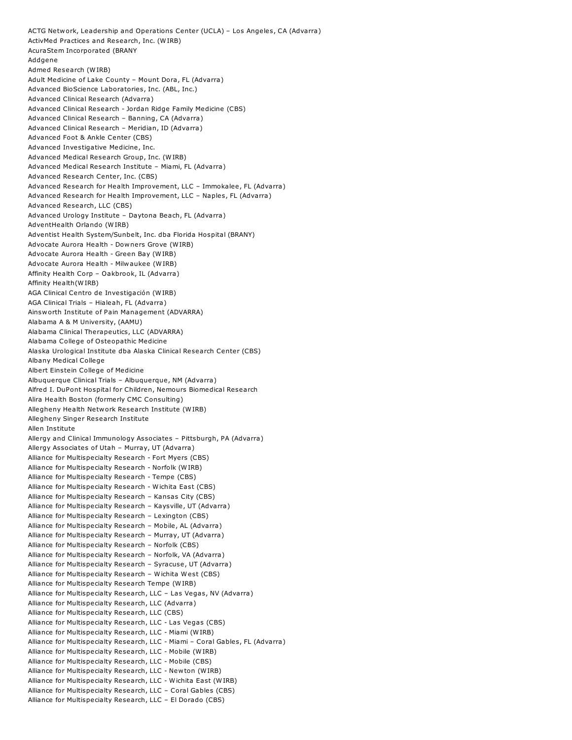ACTG Network, Leadership and Operations Center (UCLA) – Los Angeles, CA (Advarra) ActivMed Practices and Research, Inc. (WIRB) AcuraStem Incorporated (BRANY Addgene Admed Research (WIRB) Adult Medicine of Lake County – Mount Dora, FL (Advarra) Advanced BioScience Laboratories, Inc. (ABL, Inc.) Advanced Clinical Research (Advarra) Advanced Clinical Research - Jordan Ridge Family Medicine (CBS) Advanced Clinical Research – Banning, CA (Advarra) Advanced Clinical Research – Meridian, ID (Advarra) Advanced Foot & Ankle Center (CBS) Advanced Investigative Medicine, Inc. Advanced Medical Research Group, Inc. (WIRB) Advanced Medical Research Institute – Miami, FL (Advarra) Advanced Research Center, Inc. (CBS) Advanced Research for Health Improvement, LLC – Immokalee, FL (Advarra) Advanced Research for Health Improvement, LLC – Naples, FL (Advarra) Advanced Research, LLC (CBS) Advanced Urology Institute – Daytona Beach, FL (Advarra) AdventHealth Orlando (WIRB) Adventist Health System/Sunbelt, Inc. dba Florida Hospital (BRANY) Advocate Aurora Health - Downers Grove (WIRB) Advocate Aurora Health - Green Bay (WIRB) Advocate Aurora Health - Milwaukee (WIRB) Affinity Health Corp – Oakbrook, IL (Advarra) Affinity Health(WIRB) AGA Clinical Centro de Investigación (WIRB) AGA Clinical Trials – Hialeah, FL (Advarra) Ainsworth Institute of Pain Management (ADVARRA) Alabama A & M University, (AAMU) Alabama Clinical Therapeutics, LLC (ADVARRA) Alabama College of Osteopathic Medicine Alaska Urological Institute dba Alaska Clinical Research Center (CBS) Albany Medical College Albert Einstein College of Medicine Albuquerque Clinical Trials – Albuquerque, NM (Advarra) Alfred I. DuPont Hospital for Children, Nemours Biomedical Research Alira Health Boston (formerly CMC Consulting) Allegheny Health Network Research Institute (WIRB) Allegheny Singer Research Institute Allen Institute Allergy and Clinical Immunology Associates – Pittsburgh, PA (Advarra) Allergy Associates of Utah – Murray, UT (Advarra) Alliance for Multispecialty Research - Fort Myers (CBS) Alliance for Multispecialty Research - Norfolk (WIRB) Alliance for Multispecialty Research - Tempe (CBS) Alliance for Multispecialty Research - Wichita East (CBS) Alliance for Multispecialty Research – Kansas City (CBS) Alliance for Multispecialty Research – Kaysville, UT (Advarra) Alliance for Multispecialty Research – Lexington (CBS) Alliance for Multispecialty Research – Mobile, AL (Advarra) Alliance for Multispecialty Research – Murray, UT (Advarra) Alliance for Multispecialty Research – Norfolk (CBS) Alliance for Multispecialty Research – Norfolk, VA (Advarra) Alliance for Multispecialty Research – Syracuse, UT (Advarra) Alliance for Multispecialty Research – Wichita West (CBS) Alliance for Multispecialty Research Tempe (WIRB) Alliance for Multispecialty Research, LLC – Las Vegas, NV (Advarra) Alliance for Multispecialty Research, LLC (Advarra) Alliance for Multispecialty Research, LLC (CBS) Alliance for Multispecialty Research, LLC - Las Vegas (CBS) Alliance for Multispecialty Research, LLC - Miami (WIRB) Alliance for Multispecialty Research, LLC - Miami – Coral Gables, FL (Advarra) Alliance for Multispecialty Research, LLC - Mobile (WIRB) Alliance for Multispecialty Research, LLC - Mobile (CBS) Alliance for Multispecialty Research, LLC - Newton (WIRB) Alliance for Multispecialty Research, LLC - Wichita East (WIRB) Alliance for Multispecialty Research, LLC – Coral Gables (CBS) Alliance for Multispecialty Research, LLC – El Dorado (CBS)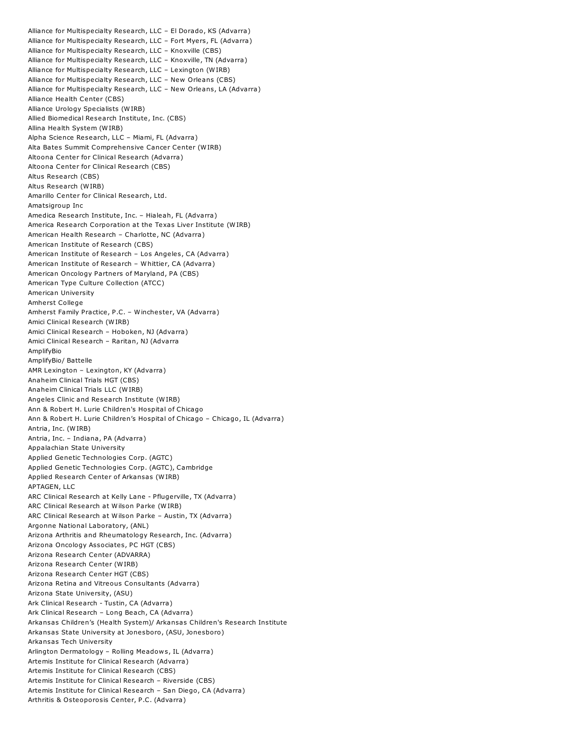Alliance for Multispecialty Research, LLC – El Dorado, KS (Advarra) Alliance for Multispecialty Research, LLC – Fort Myers, FL (Advarra) Alliance for Multispecialty Research, LLC – Knoxville (CBS) Alliance for Multispecialty Research, LLC – Knoxville, TN (Advarra) Alliance for Multispecialty Research, LLC – Lexington (WIRB) Alliance for Multispecialty Research, LLC – New Orleans (CBS) Alliance for Multispecialty Research, LLC – New Orleans, LA (Advarra) Alliance Health Center (CBS) Alliance Urology Specialists (WIRB) Allied Biomedical Research Institute, Inc. (CBS) Allina Health System (WIRB) Alpha Science Research, LLC – Miami, FL (Advarra) Alta Bates Summit Comprehensive Cancer Center (WIRB) Altoona Center for Clinical Research (Advarra) Altoona Center for Clinical Research (CBS) Altus Research (CBS) Altus Research (WIRB) Amarillo Center for Clinical Research, Ltd. Amatsigroup Inc Amedica Research Institute, Inc. – Hialeah, FL (Advarra) America Research Corporation at the Texas Liver Institute (WIRB) American Health Research – Charlotte, NC (Advarra) American Institute of Research (CBS) American Institute of Research – Los Angeles, CA (Advarra) American Institute of Research – Whittier, CA (Advarra) American Oncology Partners of Maryland, PA (CBS) American Type Culture Collection (ATCC) American University Amherst College Amherst Family Practice, P.C. – Winchester, VA (Advarra) Amici Clinical Research (WIRB) Amici Clinical Research – Hoboken, NJ (Advarra) Amici Clinical Research – Raritan, NJ (Advarra AmplifyBio AmplifyBio/ Battelle AMR Lexington – Lexington, KY (Advarra) Anaheim Clinical Trials HGT (CBS) Anaheim Clinical Trials LLC (WIRB) Angeles Clinic and Research Institute (WIRB) Ann & Robert H. Lurie Children's Hospital of Chicago Ann & Robert H. Lurie Children's Hospital of Chicago – Chicago, IL (Advarra) Antria, Inc. (WIRB) Antria, Inc. – Indiana, PA (Advarra) Appalachian State University Applied Genetic Technologies Corp. (AGTC) Applied Genetic Technologies Corp. (AGTC), Cambridge Applied Research Center of Arkansas (WIRB) APTAGEN, LLC ARC Clinical Research at Kelly Lane - Pflugerville, TX (Advarra) ARC Clinical Research at Wilson Parke (WIRB) ARC Clinical Research at Wilson Parke – Austin, TX (Advarra) Argonne National Laboratory, (ANL) Arizona Arthritis and Rheumatology Research, Inc. (Advarra) Arizona Oncology Associates, PC HGT (CBS) Arizona Research Center (ADVARRA) Arizona Research Center (WIRB) Arizona Research Center HGT (CBS) Arizona Retina and Vitreous Consultants (Advarra) Arizona State University, (ASU) Ark Clinical Research - Tustin, CA (Advarra) Ark Clinical Research – Long Beach, CA (Advarra) Arkansas Children's (Health System)/ Arkansas Children's Research Institute Arkansas State University at Jonesboro, (ASU, Jonesboro) Arkansas Tech University Arlington Dermatology – Rolling Meadows, IL (Advarra) Artemis Institute for Clinical Research (Advarra) Artemis Institute for Clinical Research (CBS) Artemis Institute for Clinical Research – Riverside (CBS) Artemis Institute for Clinical Research – San Diego, CA (Advarra) Arthritis & Osteoporosis Center, P.C. (Advarra)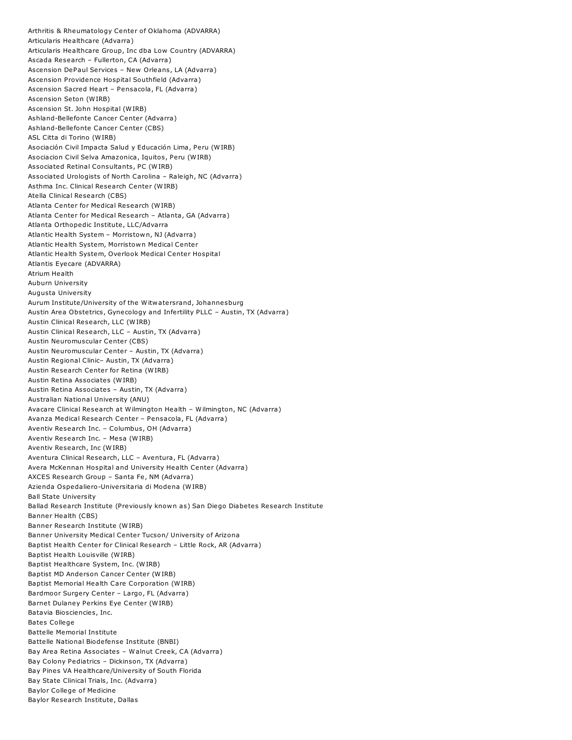Arthritis & Rheumatology Center of Oklahoma (ADVARRA) Articularis Healthcare (Advarra) Articularis Healthcare Group, Inc dba Low Country (ADVARRA) Ascada Research – Fullerton, CA (Advarra) Ascension DePaul Services – New Orleans, LA (Advarra) Ascension Providence Hospital Southfield (Advarra) Ascension Sacred Heart – Pensacola, FL (Advarra) Ascension Seton (WIRB) Ascension St. John Hospital (WIRB) Ashland-Bellefonte Cancer Center (Advarra) Ashland-Bellefonte Cancer Center (CBS) ASL Citta di Torino (WIRB) Asociación Civil Impacta Salud y Educación Lima, Peru (WIRB) Asociacion Civil Selva Amazonica, Iquitos, Peru (WIRB) Associated Retinal Consultants, PC (WIRB) Associated Urologists of North Carolina – Raleigh, NC (Advarra) Asthma Inc. Clinical Research Center (WIRB) Atella Clinical Research (CBS) Atlanta Center for Medical Research (WIRB) Atlanta Center for Medical Research – Atlanta, GA (Advarra) Atlanta Orthopedic Institute, LLC/Advarra Atlantic Health System – Morristown, NJ (Advarra) Atlantic Health System, Morristown Medical Center Atlantic Health System, Overlook Medical Center Hospital Atlantis Eyecare (ADVARRA) Atrium Health Auburn University Augusta University Aurum Institute/University of the Witwatersrand, Johannesburg Austin Area Obstetrics, Gynecology and Infertility PLLC – Austin, TX (Advarra) Austin Clinical Research, LLC (WIRB) Austin Clinical Research, LLC – Austin, TX (Advarra) Austin Neuromuscular Center (CBS) Austin Neuromuscular Center – Austin, TX (Advarra) Austin Regional Clinic– Austin, TX (Advarra) Austin Research Center for Retina (WIRB) Austin Retina Associates (WIRB) Austin Retina Associates – Austin, TX (Advarra) Australian National University (ANU) Avacare Clinical Research at Wilmington Health – Wilmington, NC (Advarra) Avanza Medical Research Center – Pensacola, FL (Advarra) Aventiv Research Inc. – Columbus, OH (Advarra) Aventiv Research Inc. – Mesa (WIRB) Aventiv Research, Inc (WIRB) Aventura Clinical Research, LLC – Aventura, FL (Advarra) Avera McKennan Hospital and University Health Center (Advarra) AXCES Research Group – Santa Fe, NM (Advarra) Azienda Ospedaliero-Universitaria di Modena (WIRB) Ball State University Ballad Research Institute (Previously known as) San Diego Diabetes Research Institute Banner Health (CBS) Banner Research Institute (WIRB) Banner University Medical Center Tucson/ University of Arizona Baptist Health Center for Clinical Research – Little Rock, AR (Advarra) Baptist Health Louisville (WIRB) Baptist Healthcare System, Inc. (WIRB) Baptist MD Anderson Cancer Center (WIRB) Baptist Memorial Health Care Corporation (WIRB) Bardmoor Surgery Center – Largo, FL (Advarra) Barnet Dulaney Perkins Eye Center (WIRB) Batavia Biosciencies, Inc. Bates College Battelle Memorial Institute Battelle National Biodefense Institute (BNBI) Bay Area Retina Associates – Walnut Creek, CA (Advarra) Bay Colony Pediatrics – Dickinson, TX (Advarra) Bay Pines VA Healthcare/University of South Florida Bay State Clinical Trials, Inc. (Advarra) Baylor College of Medicine Baylor Research Institute, Dallas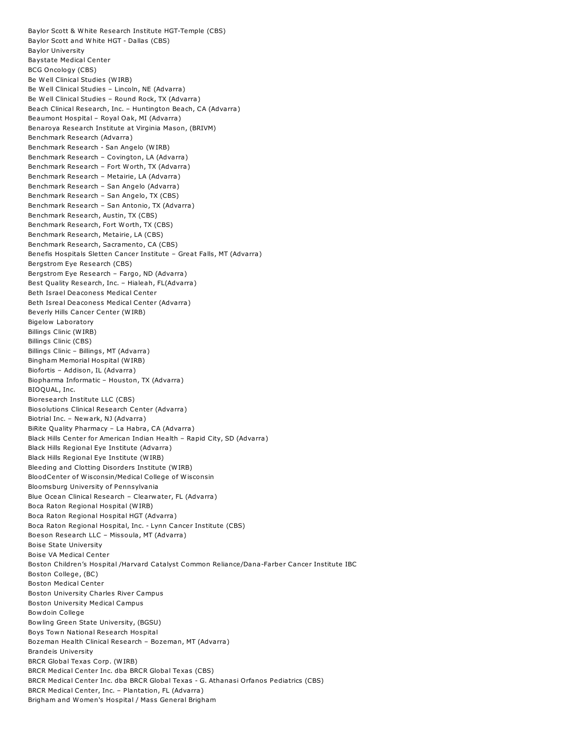Baylor Scott & White Research Institute HGT-Temple (CBS) Baylor Scott and White HGT - Dallas (CBS) Baylor University Baystate Medical Center BCG Oncology (CBS) Be Well Clinical Studies (WIRB) Be Well Clinical Studies – Lincoln, NE (Advarra) Be Well Clinical Studies – Round Rock, TX (Advarra) Beach Clinical Research, Inc. – Huntington Beach, CA (Advarra) Beaumont Hospital – Royal Oak, MI (Advarra) Benaroya Research Institute at Virginia Mason, (BRIVM) Benchmark Research (Advarra) Benchmark Research - San Angelo (WIRB) Benchmark Research – Covington, LA (Advarra) Benchmark Research – Fort Worth, TX (Advarra) Benchmark Research – Metairie, LA (Advarra) Benchmark Research – San Angelo (Advarra) Benchmark Research – San Angelo, TX (CBS) Benchmark Research – San Antonio, TX (Advarra) Benchmark Research, Austin, TX (CBS) Benchmark Research, Fort Worth, TX (CBS) Benchmark Research, Metairie, LA (CBS) Benchmark Research, Sacramento, CA (CBS) Benefis Hospitals Sletten Cancer Institute – Great Falls, MT (Advarra) Bergstrom Eye Research (CBS) Bergstrom Eye Research – Fargo, ND (Advarra) Best Quality Research, Inc. – Hialeah, FL(Advarra) Beth Israel Deaconess Medical Center Beth Isreal Deaconess Medical Center (Advarra) Beverly Hills Cancer Center (WIRB) Bigelow Laboratory Billings Clinic (WIRB) Billings Clinic (CBS) Billings Clinic – Billings, MT (Advarra) Bingham Memorial Hospital (WIRB) Biofortis – Addison, IL (Advarra) Biopharma Informatic – Houston, TX (Advarra) BIOQUAL, Inc. Bioresearch Institute LLC (CBS) Biosolutions Clinical Research Center (Advarra) Biotrial Inc. – Newark, NJ (Advarra) BiRite Quality Pharmacy – La Habra, CA (Advarra) Black Hills Center for American Indian Health – Rapid City, SD (Advarra) Black Hills Regional Eye Institute (Advarra) Black Hills Regional Eye Institute (WIRB) Bleeding and Clotting Disorders Institute (WIRB) BloodCenter of Wisconsin/Medical College of Wisconsin Bloomsburg University of Pennsylvania Blue Ocean Clinical Research – Clearwater, FL (Advarra) Boca Raton Regional Hospital (WIRB) Boca Raton Regional Hospital HGT (Advarra) Boca Raton Regional Hospital, Inc. - Lynn Cancer Institute (CBS) Boeson Research LLC – Missoula, MT (Advarra) Boise State University Boise VA Medical Center Boston Children's Hospital /Harvard Catalyst Common Reliance/Dana-Farber Cancer Institute IBC Boston College, (BC) Boston Medical Center Boston University Charles River Campus Boston University Medical Campus Bowdoin College Bowling Green State University, (BGSU) Boys Town National Research Hospital Bozeman Health Clinical Research – Bozeman, MT (Advarra) Brandeis University BRCR Global Texas Corp. (WIRB) BRCR Medical Center Inc. dba BRCR Global Texas (CBS) BRCR Medical Center Inc. dba BRCR Global Texas - G. Athanasi Orfanos Pediatrics (CBS) BRCR Medical Center, Inc. – Plantation, FL (Advarra) Brigham and Women's Hospital / Mass General Brigham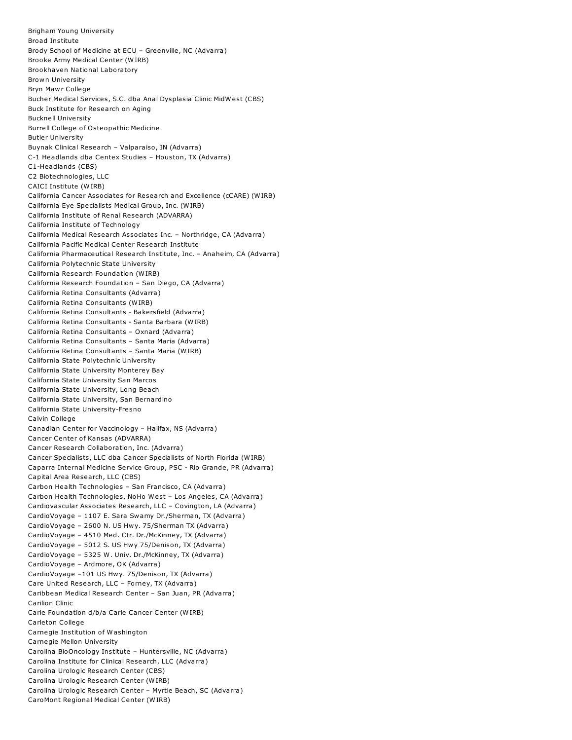Brigham Young University Broad Institute Brody School of Medicine at ECU – Greenville, NC (Advarra) Brooke Army Medical Center (WIRB) Brookhaven National Laboratory Brown University Bryn Mawr College Bucher Medical Services, S.C. dba Anal Dysplasia Clinic MidWest (CBS) Buck Institute for Research on Aging Bucknell University Burrell College of Osteopathic Medicine Butler University Buynak Clinical Research – Valparaiso, IN (Advarra) C-1 Headlands dba Centex Studies – Houston, TX (Advarra) C1-Headlands (CBS) C2 Biotechnologies, LLC CAICI Institute (WIRB) California Cancer Associates for Research and Excellence (cCARE) (WIRB) California Eye Specialists Medical Group, Inc. (WIRB) California Institute of Renal Research (ADVARRA) California Institute of Technology California Medical Research Associates Inc. – Northridge, CA (Advarra) California Pacific Medical Center Research Institute California Pharmaceutical Research Institute, Inc. – Anaheim, CA (Advarra) California Polytechnic State University California Research Foundation (WIRB) California Research Foundation – San Diego, CA (Advarra) California Retina Consultants (Advarra) California Retina Consultants (WIRB) California Retina Consultants - Bakersfield (Advarra) California Retina Consultants - Santa Barbara (WIRB) California Retina Consultants – Oxnard (Advarra) California Retina Consultants – Santa Maria (Advarra) California Retina Consultants – Santa Maria (WIRB) California State Polytechnic University California State University Monterey Bay California State University San Marcos California State University, Long Beach California State University, San Bernardino California State University-Fresno Calvin College Canadian Center for Vaccinology – Halifax, NS (Advarra) Cancer Center of Kansas (ADVARRA) Cancer Research Collaboration, Inc. (Advarra) Cancer Specialists, LLC dba Cancer Specialists of North Florida (WIRB) Caparra Internal Medicine Service Group, PSC - Rio Grande, PR (Advarra) Capital Area Research, LLC (CBS) Carbon Health Technologies – San Francisco, CA (Advarra) Carbon Health Technologies, NoHo West – Los Angeles, CA (Advarra) Cardiovascular Associates Research, LLC – Covington, LA (Advarra) CardioVoyage – 1107 E. Sara Swamy Dr./Sherman, TX (Advarra) CardioVoyage – 2600 N. US Hwy. 75/Sherman TX (Advarra) CardioVoyage – 4510 Med. Ctr. Dr./McKinney, TX (Advarra) CardioVoyage – 5012 S. US Hwy 75/Denison, TX (Advarra) CardioVoyage – 5325 W. Univ. Dr./McKinney, TX (Advarra) CardioVoyage – Ardmore, OK (Advarra) CardioVoyage –101 US Hwy. 75/Denison, TX (Advarra) Care United Research, LLC – Forney, TX (Advarra) Caribbean Medical Research Center – San Juan, PR (Advarra) Carilion Clinic Carle Foundation d/b/a Carle Cancer Center (WIRB) Carleton College Carnegie Institution of Washington Carnegie Mellon University Carolina BioOncology Institute – Huntersville, NC (Advarra) Carolina Institute for Clinical Research, LLC (Advarra) Carolina Urologic Research Center (CBS) Carolina Urologic Research Center (WIRB) Carolina Urologic Research Center – Myrtle Beach, SC (Advarra) CaroMont Regional Medical Center (WIRB)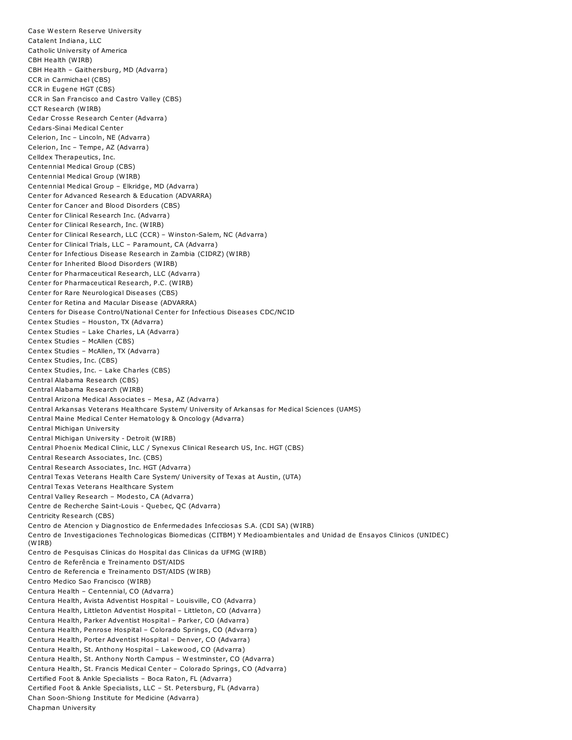Case Western Reserve University Catalent Indiana, LLC Catholic University of America CBH Health (WIRB) CBH Health – Gaithersburg, MD (Advarra) CCR in Carmichael (CBS) CCR in Eugene HGT (CBS) CCR in San Francisco and Castro Valley (CBS) CCT Research (WIRB) Cedar Crosse Research Center (Advarra) Cedars-Sinai Medical Center Celerion, Inc – Lincoln, NE (Advarra) Celerion, Inc – Tempe, AZ (Advarra) Celldex Therapeutics, Inc. Centennial Medical Group (CBS) Centennial Medical Group (WIRB) Centennial Medical Group – Elkridge, MD (Advarra) Center for Advanced Research & Education (ADVARRA) Center for Cancer and Blood Disorders (CBS) Center for Clinical Research Inc. (Advarra) Center for Clinical Research, Inc. (WIRB) Center for Clinical Research, LLC (CCR) – Winston-Salem, NC (Advarra) Center for Clinical Trials, LLC – Paramount, CA (Advarra) Center for Infectious Disease Research in Zambia (CIDRZ) (WIRB) Center for Inherited Blood Disorders (WIRB) Center for Pharmaceutical Research, LLC (Advarra) Center for Pharmaceutical Research, P.C. (WIRB) Center for Rare Neurological Diseases (CBS) Center for Retina and Macular Disease (ADVARRA) Centers for Disease Control/National Center for Infectious Diseases CDC/NCID Centex Studies – Houston, TX (Advarra) Centex Studies – Lake Charles, LA (Advarra) Centex Studies – McAllen (CBS) Centex Studies – McAllen, TX (Advarra) Centex Studies, Inc. (CBS) Centex Studies, Inc. – Lake Charles (CBS) Central Alabama Research (CBS) Central Alabama Research (WIRB) Central Arizona Medical Associates – Mesa, AZ (Advarra) Central Arkansas Veterans Healthcare System/ University of Arkansas for Medical Sciences (UAMS) Central Maine Medical Center Hematology & Oncology (Advarra) Central Michigan University Central Michigan University - Detroit (WIRB) Central Phoenix Medical Clinic, LLC / Synexus Clinical Research US, Inc. HGT (CBS) Central Research Associates, Inc. (CBS) Central Research Associates, Inc. HGT (Advarra) Central Texas Veterans Health Care System/ University of Texas at Austin, (UTA) Central Texas Veterans Healthcare System Central Valley Research – Modesto, CA (Advarra) Centre de Recherche Saint-Louis - Quebec, QC (Advarra) Centricity Research (CBS) Centro de Atencion y Diagnostico de Enfermedades Infecciosas S.A. (CDI SA) (WIRB) Centro de Investigaciones Technologicas Biomedicas (CITBM) Y Medioambientales and Unidad de Ensayos Clinicos (UNIDEC) (WIRB) Centro de Pesquisas Clinicas do Hospital das Clinicas da UFMG (WIRB) Centro de Referência e Treinamento DST/AIDS Centro de Referencia e Treinamento DST/AIDS (WIRB) Centro Medico Sao Francisco (WIRB) Centura Health – Centennial, CO (Advarra) Centura Health, Avista Adventist Hospital – Louisville, CO (Advarra) Centura Health, Littleton Adventist Hospital – Littleton, CO (Advarra) Centura Health, Parker Adventist Hospital – Parker, CO (Advarra) Centura Health, Penrose Hospital – Colorado Springs, CO (Advarra) Centura Health, Porter Adventist Hospital – Denver, CO (Advarra) Centura Health, St. Anthony Hospital – Lakewood, CO (Advarra) Centura Health, St. Anthony North Campus – Westminster, CO (Advarra) Centura Health, St. Francis Medical Center – Colorado Springs, CO (Advarra) Certified Foot & Ankle Specialists – Boca Raton, FL (Advarra) Certified Foot & Ankle Specialists, LLC – St. Petersburg, FL (Advarra) Chan Soon-Shiong Institute for Medicine (Advarra) Chapman University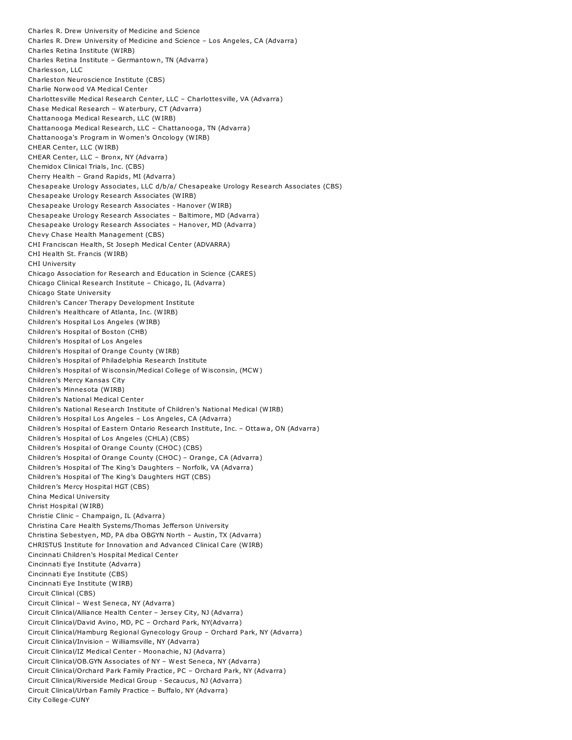Charles R. Drew University of Medicine and Science Charles R. Drew University of Medicine and Science – Los Angeles, CA (Advarra) Charles Retina Institute (WIRB) Charles Retina Institute – Germantown, TN (Advarra) Charlesson, LLC Charleston Neuroscience Institute (CBS) Charlie Norwood VA Medical Center Charlottesville Medical Research Center, LLC – Charlottesville, VA (Advarra) Chase Medical Research – Waterbury, CT (Advarra) Chattanooga Medical Research, LLC (WIRB) Chattanooga Medical Research, LLC – Chattanooga, TN (Advarra) Chattanooga's Program in Women's Oncology (WIRB) CHEAR Center, LLC (WIRB) CHEAR Center, LLC – Bronx, NY (Advarra) Chemidox Clinical Trials, Inc. (CBS) Cherry Health – Grand Rapids, MI (Advarra) Chesapeake Urology Associates, LLC d/b/a/ Chesapeake Urology Research Associates (CBS) Chesapeake Urology Research Associates (WIRB) Chesapeake Urology Research Associates - Hanover (WIRB) Chesapeake Urology Research Associates – Baltimore, MD (Advarra) Chesapeake Urology Research Associates – Hanover, MD (Advarra) Chevy Chase Health Management (CBS) CHI Franciscan Health, St Joseph Medical Center (ADVARRA) CHI Health St. Francis (WIRB) CHI University Chicago Association for Research and Education in Science (CARES) Chicago Clinical Research Institute – Chicago, IL (Advarra) Chicago State University Children's Cancer Therapy Development Institute Children's Healthcare of Atlanta, Inc. (WIRB) Children's Hospital Los Angeles (WIRB) Children's Hospital of Boston (CHB) Children's Hospital of Los Angeles Children's Hospital of Orange County (WIRB) Children's Hospital of Philadelphia Research Institute Children's Hospital of Wisconsin/Medical College of Wisconsin, (MCW) Children's Mercy Kansas City Children's Minnesota (WIRB) Children's National Medical Center Children's National Research Institute of Children's National Medical (WIRB) Children's Hospital Los Angeles – Los Angeles, CA (Advarra) Children's Hospital of Eastern Ontario Research Institute, Inc. – Ottawa, ON (Advarra) Children's Hospital of Los Angeles (CHLA) (CBS) Children's Hospital of Orange County (CHOC) (CBS) Children's Hospital of Orange County (CHOC) – Orange, CA (Advarra) Children's Hospital of The King's Daughters – Norfolk, VA (Advarra) Children's Hospital of The King's Daughters HGT (CBS) Children's Mercy Hospital HGT (CBS) China Medical University Christ Hospital (WIRB) Christie Clinic – Champaign, IL (Advarra) Christina Care Health Systems/Thomas Jefferson University Christina Sebestyen, MD, PA dba OBGYN North – Austin, TX (Advarra) CHRISTUS Institute for Innovation and Advanced Clinical Care (WIRB) Cincinnati Children's Hospital Medical Center Cincinnati Eye Institute (Advarra) Cincinnati Eye Institute (CBS) Cincinnati Eye Institute (WIRB) Circuit Clinical (CBS) Circuit Clinical – West Seneca, NY (Advarra) Circuit Clinical/Alliance Health Center – Jersey City, NJ (Advarra) Circuit Clinical/David Avino, MD, PC – Orchard Park, NY(Advarra) Circuit Clinical/Hamburg Regional Gynecology Group – Orchard Park, NY (Advarra) Circuit Clinical/Invision – Williamsville, NY (Advarra) Circuit Clinical/IZ Medical Center - Moonachie, NJ (Advarra) Circuit Clinical/OB.GYN Associates of NY – West Seneca, NY (Advarra) Circuit Clinical/Orchard Park Family Practice, PC – Orchard Park, NY (Advarra) Circuit Clinical/Riverside Medical Group - Secaucus, NJ (Advarra) Circuit Clinical/Urban Family Practice – Buffalo, NY (Advarra) City College-CUNY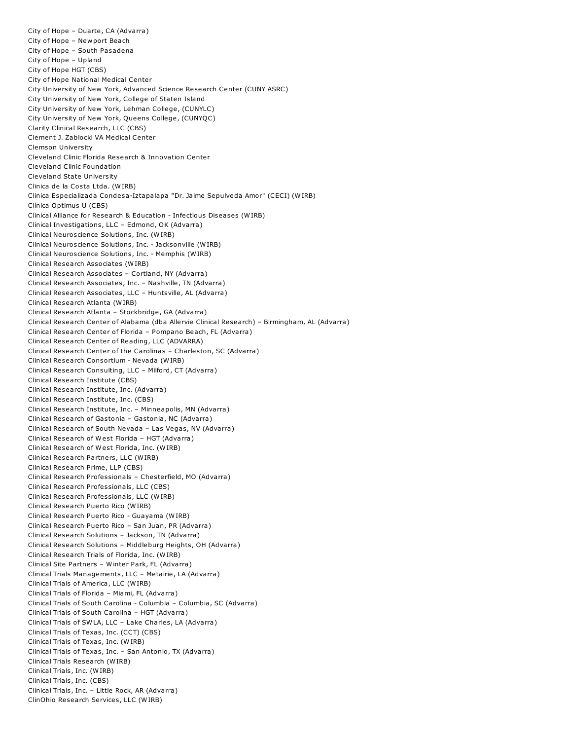City of Hope – Duarte, CA (Advarra) City of Hope – Newport Beach City of Hope – South Pasadena City of Hope – Upland City of Hope HGT (CBS) City of Hope National Medical Center City University of New York, Advanced Science Research Center (CUNY ASRC) City University of New York, College of Staten Island City University of New York, Lehman College, (CUNYLC) City University of New York, Queens College, (CUNYQC) Clarity Clinical Research, LLC (CBS) Clement J. Zablocki VA Medical Center Clemson University Cleveland Clinic Florida Research & Innovation Center Cleveland Clinic Foundation Cleveland State University Clinica de la Costa Ltda. (WIRB) Clinica Especializada Condesa-Iztapalapa "Dr. Jaime Sepulveda Amor" (CECI) (WIRB) Clínica Optimus U (CBS) Clinical Alliance for Research & Education - Infectious Diseases (WIRB) Clinical Investigations, LLC – Edmond, OK (Advarra) Clinical Neuroscience Solutions, Inc. (WIRB) Clinical Neuroscience Solutions, Inc. - Jacksonville (WIRB) Clinical Neuroscience Solutions, Inc. - Memphis (WIRB) Clinical Research Associates (WIRB) Clinical Research Associates – Cortland, NY (Advarra) Clinical Research Associates, Inc. – Nashville, TN (Advarra) Clinical Research Associates, LLC – Huntsville, AL (Advarra) Clinical Research Atlanta (WIRB) Clinical Research Atlanta – Stockbridge, GA (Advarra) Clinical Research Center of Alabama (dba Allervie Clinical Research) – Birmingham, AL (Advarra) Clinical Research Center of Florida – Pompano Beach, FL (Advarra) Clinical Research Center of Reading, LLC (ADVARRA) Clinical Research Center of the Carolinas – Charleston, SC (Advarra) Clinical Research Consortium - Nevada (WIRB) Clinical Research Consulting, LLC – Milford, CT (Advarra) Clinical Research Institute (CBS) Clinical Research Institute, Inc. (Advarra) Clinical Research Institute, Inc. (CBS) Clinical Research Institute, Inc. – Minneapolis, MN (Advarra) Clinical Research of Gastonia – Gastonia, NC (Advarra) Clinical Research of South Nevada – Las Vegas, NV (Advarra) Clinical Research of West Florida – HGT (Advarra) Clinical Research of West Florida, Inc. (WIRB) Clinical Research Partners, LLC (WIRB) Clinical Research Prime, LLP (CBS) Clinical Research Professionals – Chesterfield, MO (Advarra) Clinical Research Professionals, LLC (CBS) Clinical Research Professionals, LLC (WIRB) Clinical Research Puerto Rico (WIRB) Clinical Research Puerto Rico - Guayama (WIRB) Clinical Research Puerto Rico – San Juan, PR (Advarra) Clinical Research Solutions – Jackson, TN (Advarra) Clinical Research Solutions – Middleburg Heights, OH (Advarra) Clinical Research Trials of Florida, Inc. (WIRB) Clinical Site Partners – Winter Park, FL (Advarra) Clinical Trials Managements, LLC – Metairie, LA (Advarra) Clinical Trials of America, LLC (WIRB) Clinical Trials of Florida – Miami, FL (Advarra) Clinical Trials of South Carolina - Columbia – Columbia, SC (Advarra) Clinical Trials of South Carolina – HGT (Advarra) Clinical Trials of SWLA, LLC – Lake Charles, LA (Advarra) Clinical Trials of Texas, Inc. (CCT) (CBS) Clinical Trials of Texas, Inc. (WIRB) Clinical Trials of Texas, Inc. – San Antonio, TX (Advarra) Clinical Trials Research (WIRB) Clinical Trials, Inc. (WIRB) Clinical Trials, Inc. (CBS) Clinical Trials, Inc. – Little Rock, AR (Advarra) ClinOhio Research Services, LLC (WIRB)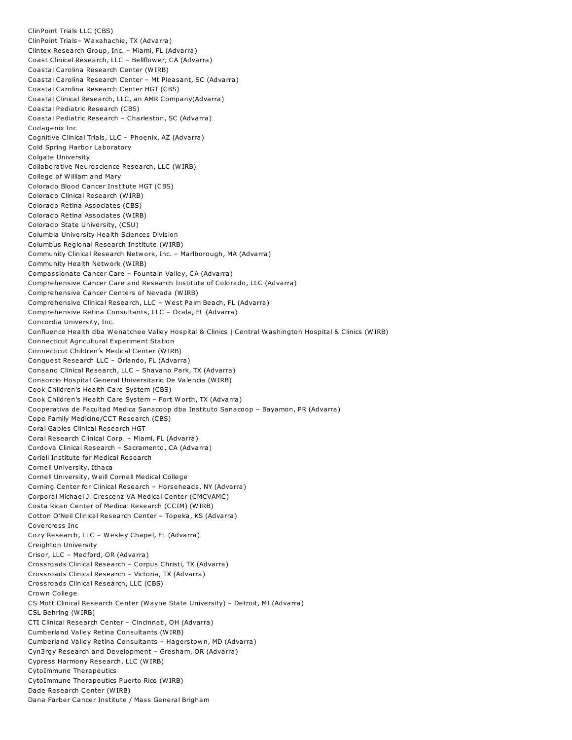ClinPoint Trials LLC (CBS) ClinPoint Trials– Waxahachie, TX (Advarra) Clintex Research Group, Inc. – Miami, FL (Advarra) Coast Clinical Research, LLC – Bellflower, CA (Advarra) Coastal Carolina Research Center (WIRB) Coastal Carolina Research Center – Mt Pleasant, SC (Advarra) Coastal Carolina Research Center HGT (CBS) Coastal Clinical Research, LLC, an AMR Company(Advarra) Coastal Pediatric Research (CBS) Coastal Pediatric Research – Charleston, SC (Advarra) Codagenix Inc Cognitive Clinical Trials, LLC – Phoenix, AZ (Advarra) Cold Spring Harbor Laboratory Colgate University Collaborative Neuroscience Research, LLC (WIRB) College of William and Mary Colorado Blood Cancer Institute HGT (CBS) Colorado Clinical Research (WIRB) Colorado Retina Associates (CBS) Colorado Retina Associates (WIRB) Colorado State University, (CSU) Columbia University Health Sciences Division Columbus Regional Research Institute (WIRB) Community Clinical Research Network, Inc. – Marlborough, MA (Advarra) Community Health Network (WIRB) Compassionate Cancer Care – Fountain Valley, CA (Advarra) Comprehensive Cancer Care and Research Institute of Colorado, LLC (Advarra) Comprehensive Cancer Centers of Nevada (WIRB) Comprehensive Clinical Research, LLC – West Palm Beach, FL (Advarra) Comprehensive Retina Consultants, LLC – Ocala, FL (Advarra) Concordia University, Inc. Confluence Health dba Wenatchee Valley Hospital & Clinics | Central Washington Hospital & Clinics (WIRB) Connecticut Agricultural Experiment Station Connecticut Children's Medical Center (WIRB) Conquest Research LLC – Orlando, FL (Advarra) Consano Clinical Research, LLC – Shavano Park, TX (Advarra) Consorcio Hospital General Universitario De Valencia (WIRB) Cook Children's Health Care System (CBS) Cook Children's Health Care System – Fort Worth, TX (Advarra) Cooperativa de Facultad Medica Sanacoop dba Instituto Sanacoop – Bayamon, PR (Advarra) Cope Family Medicine/CCT Research (CBS) Coral Gables Clinical Research HGT Coral Research Clinical Corp. – Miami, FL (Advarra) Cordova Clinical Research – Sacramento, CA (Advarra) Coriell Institute for Medical Research Cornell University, Ithaca Cornell University, Weill Cornell Medical College Corning Center for Clinical Research – Horseheads, NY (Advarra) Corporal Michael J. Crescenz VA Medical Center (CMCVAMC) Costa Rican Center of Medical Research (CCIM) (WIRB) Cotton O'Neil Clinical Research Center – Topeka, KS (Advarra) Covercress Inc Cozy Research, LLC – Wesley Chapel, FL (Advarra) Creighton University Crisor, LLC – Medford, OR (Advarra) Crossroads Clinical Research – Corpus Christi, TX (Advarra) Crossroads Clinical Research – Victoria, TX (Advarra) Crossroads Clinical Research, LLC (CBS) Crown College CS Mott Clinical Research Center (Wayne State University) – Detroit, MI (Advarra) CSL Behring (WIRB) CTI Clinical Research Center – Cincinnati, OH (Advarra) Cumberland Valley Retina Consultants (WIRB) Cumberland Valley Retina Consultants – Hagerstown, MD (Advarra) Cyn3rgy Research and Development – Gresham, OR (Advarra) Cypress Harmony Research, LLC (WIRB) CytoImmune Therapeutics CytoImmune Therapeutics Puerto Rico (WIRB) Dade Research Center (WIRB) Dana Farber Cancer Institute / Mass General Brigham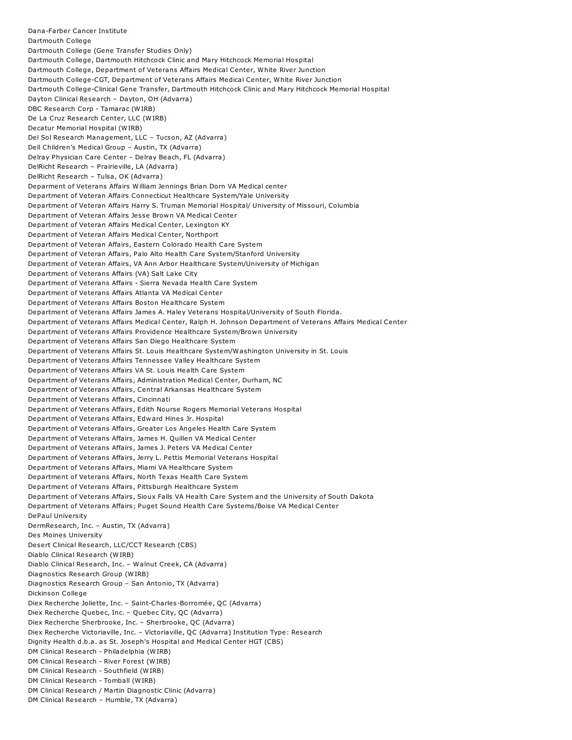Dana-Farber Cancer Institute Dartmouth College Dartmouth College (Gene Transfer Studies Only) Dartmouth College, Dartmouth Hitchcock Clinic and Mary Hitchcock Memorial Hospital Dartmouth College, Department of Veterans Affairs Medical Center, White River Junction Dartmouth College-CGT, Department of Veterans Affairs Medical Center, White River Junction Dartmouth College-Clinical Gene Transfer, Dartmouth Hitchcock Clinic and Mary Hitchcock Memorial Hospital Dayton Clinical Research – Dayton, OH (Advarra) DBC Research Corp - Tamarac (WIRB) De La Cruz Research Center, LLC (WIRB) Decatur Memorial Hospital (WIRB) Del Sol Research Management, LLC – Tucson, AZ (Advarra) Dell Children's Medical Group – Austin, TX (Advarra) Delray Physician Care Center – Delray Beach, FL (Advarra) DelRicht Research – Prairieville, LA (Advarra) DelRicht Research – Tulsa, OK (Advarra) Deparment of Veterans Affairs William Jennings Brian Dorn VA Medical center Department of Veteran Affairs Connecticut Healthcare System/Yale University Department of Veteran Affairs Harry S. Truman Memorial Hospital/ University of Missouri, Columbia Department of Veteran Affairs Jesse Brown VA Medical Center Department of Veteran Affairs Medical Center, Lexington KY Department of Veteran Affairs Medical Center, Northport Department of Veteran Affairs, Eastern Colorado Health Care System Department of Veteran Affairs, Palo Alto Health Care System/Stanford University Department of Veteran Affairs, VA Ann Arbor Healthcare System/University of Michigan Department of Veterans Affairs (VA) Salt Lake City Department of Veterans Affairs - Sierra Nevada Health Care System Department of Veterans Affairs Atlanta VA Medical Center Department of Veterans Affairs Boston Healthcare System Department of Veterans Affairs James A. Haley Veterans Hospital/University of South Florida. Department of Veterans Affairs Medical Center, Ralph H. Johnson Department of Veterans Affairs Medical Center Department of Veterans Affairs Providence Healthcare System/Brown University Department of Veterans Affairs San Diego Healthcare System Department of Veterans Affairs St. Louis Healthcare System/Washington University in St. Louis Department of Veterans Affairs Tennessee Valley Healthcare System Department of Veterans Affairs VA St. Louis Health Care System Department of Veterans Affairs, Administration Medical Center, Durham, NC Department of Veterans Affairs, Central Arkansas Healthcare System Department of Veterans Affairs, Cincinnati Department of Veterans Affairs, Edith Nourse Rogers Memorial Veterans Hospital Department of Veterans Affairs, Edward Hines Jr. Hospital Department of Veterans Affairs, Greater Los Angeles Health Care System Department of Veterans Affairs, James H. Quillen VA Medical Center Department of Veterans Affairs, James J. Peters VA Medical Center Department of Veterans Affairs, Jerry L. Pettis Memorial Veterans Hospital Department of Veterans Affairs, Miami VA Healthcare System Department of Veterans Affairs, North Texas Health Care System Department of Veterans Affairs, Pittsburgh Healthcare System Department of Veterans Affairs, Sioux Falls VA Health Care System and the University of South Dakota Department of Veterans Affairs; Puget Sound Health Care Systems/Boise VA Medical Center DePaul University DermResearch, Inc. – Austin, TX (Advarra) Des Moines University Desert Clinical Research, LLC/CCT Research (CBS) Diablo Clinical Research (WIRB) Diablo Clinical Research, Inc. – Walnut Creek, CA (Advarra) Diagnostics Research Group (WIRB) Diagnostics Research Group – San Antonio, TX (Advarra) Dickinson College Diex Recherche Joliette, Inc. – Saint-Charles-Borromée, QC (Advarra) Diex Recherche Quebec, Inc. – Quebec City, QC (Advarra) Diex Recherche Sherbrooke, Inc. – Sherbrooke, QC (Advarra) Diex Recherche Victoriaville, Inc. – Victoriaville, QC (Advarra) Institution Type: Research Dignity Health d.b.a. as St. Joseph's Hospital and Medical Center HGT (CBS) DM Clinical Research - Philadelphia (WIRB) DM Clinical Research - River Forest (WIRB) DM Clinical Research - Southfield (WIRB) DM Clinical Research - Tomball (WIRB) DM Clinical Research / Martin Diagnostic Clinic (Advarra) DM Clinical Research – Humble, TX (Advarra)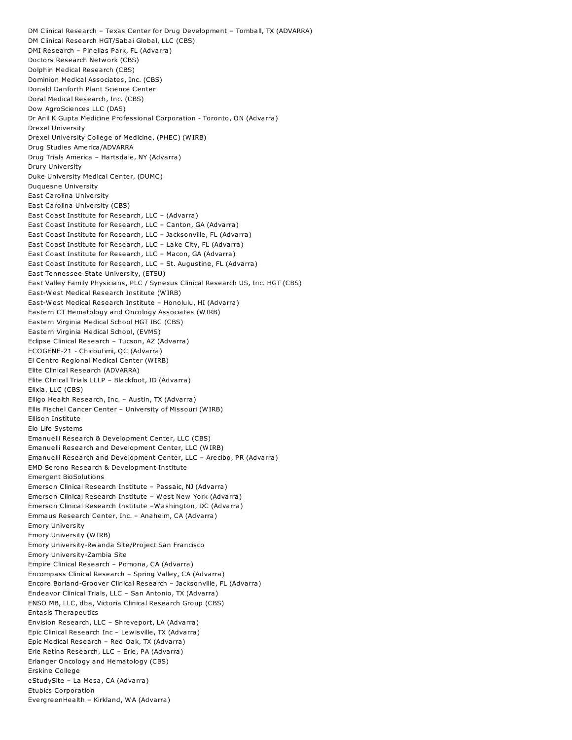DM Clinical Research – Texas Center for Drug Development – Tomball, TX (ADVARRA) DM Clinical Research HGT/Sabai Global, LLC (CBS) DMI Research – Pinellas Park, FL (Advarra) Doctors Research Network (CBS) Dolphin Medical Research (CBS) Dominion Medical Associates, Inc. (CBS) Donald Danforth Plant Science Center Doral Medical Research, Inc. (CBS) Dow AgroSciences LLC (DAS) Dr Anil K Gupta Medicine Professional Corporation - Toronto, ON (Advarra) Drexel University Drexel University College of Medicine, (PHEC) (WIRB) Drug Studies America/ADVARRA Drug Trials America – Hartsdale, NY (Advarra) Drury University Duke University Medical Center, (DUMC) Duquesne University East Carolina University East Carolina University (CBS) East Coast Institute for Research, LLC – (Advarra) East Coast Institute for Research, LLC – Canton, GA (Advarra) East Coast Institute for Research, LLC – Jacksonville, FL (Advarra) East Coast Institute for Research, LLC – Lake City, FL (Advarra) East Coast Institute for Research, LLC – Macon, GA (Advarra) East Coast Institute for Research, LLC – St. Augustine, FL (Advarra) East Tennessee State University, (ETSU) East Valley Family Physicians, PLC / Synexus Clinical Research US, Inc. HGT (CBS) East-West Medical Research Institute (WIRB) East-West Medical Research Institute – Honolulu, HI (Advarra) Eastern CT Hematology and Oncology Associates (WIRB) Eastern Virginia Medical School HGT IBC (CBS) Eastern Virginia Medical School, (EVMS) Eclipse Clinical Research – Tucson, AZ (Advarra) ECOGENE-21 - Chicoutimi, QC (Advarra) El Centro Regional Medical Center (WIRB) Elite Clinical Research (ADVARRA) Elite Clinical Trials LLLP – Blackfoot, ID (Advarra) Elixia, LLC (CBS) Elligo Health Research, Inc. – Austin, TX (Advarra) Ellis Fischel Cancer Center – University of Missouri (WIRB) Ellison Institute Elo Life Systems Emanuelli Research & Development Center, LLC (CBS) Emanuelli Research and Development Center, LLC (WIRB) Emanuelli Research and Development Center, LLC – Arecibo, PR (Advarra) EMD Serono Research & Development Institute Emergent BioSolutions Emerson Clinical Research Institute – Passaic, NJ (Advarra) Emerson Clinical Research Institute – West New York (Advarra) Emerson Clinical Research Institute –Washington, DC (Advarra) Emmaus Research Center, Inc. – Anaheim, CA (Advarra) Emory University Emory University (WIRB) Emory University-Rwanda Site/Project San Francisco Emory University-Zambia Site Empire Clinical Research – Pomona, CA (Advarra) Encompass Clinical Research – Spring Valley, CA (Advarra) Encore Borland-Groover Clinical Research – Jacksonville, FL (Advarra) Endeavor Clinical Trials, LLC – San Antonio, TX (Advarra) ENSO MB, LLC, dba, Victoria Clinical Research Group (CBS) Entasis Therapeutics Envision Research, LLC – Shreveport, LA (Advarra) Epic Clinical Research Inc – Lewisville, TX (Advarra) Epic Medical Research – Red Oak, TX (Advarra) Erie Retina Research, LLC – Erie, PA (Advarra) Erlanger Oncology and Hematology (CBS) Erskine College eStudySite – La Mesa, CA (Advarra) Etubics Corporation EvergreenHealth – Kirkland, WA (Advarra)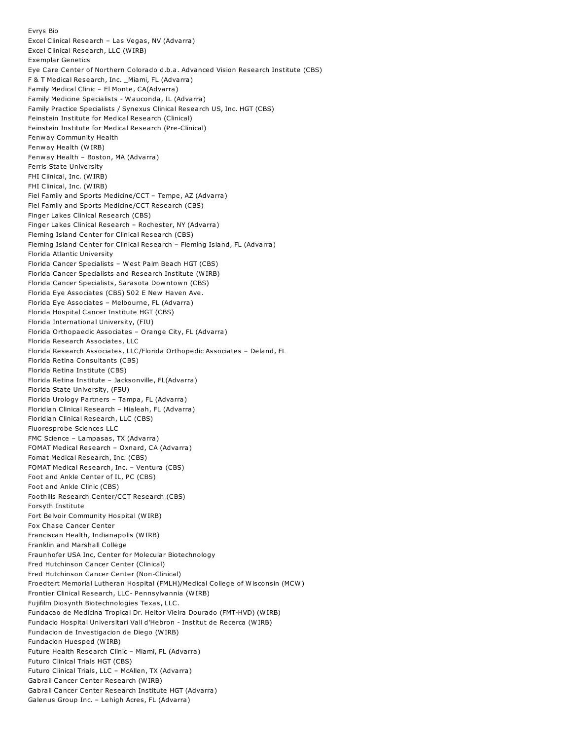Evrys Bio Excel Clinical Research – Las Vegas, NV (Advarra) Excel Clinical Research, LLC (WIRB) Exemplar Genetics Eye Care Center of Northern Colorado d.b.a. Advanced Vision Research Institute (CBS) F & T Medical Research, Inc. \_Miami, FL (Advarra) Family Medical Clinic – El Monte, CA(Advarra) Family Medicine Specialists - Wauconda, IL (Advarra) Family Practice Specialists / Synexus Clinical Research US, Inc. HGT (CBS) Feinstein Institute for Medical Research (Clinical) Feinstein Institute for Medical Research (Pre-Clinical) Fenway Community Health Fenway Health (WIRB) Fenway Health – Boston, MA (Advarra) Ferris State University FHI Clinical, Inc. (WIRB) FHI Clinical, Inc. (WIRB) Fiel Family and Sports Medicine/CCT – Tempe, AZ (Advarra) Fiel Family and Sports Medicine/CCT Research (CBS) Finger Lakes Clinical Research (CBS) Finger Lakes Clinical Research – Rochester, NY (Advarra) Fleming Island Center for Clinical Research (CBS) Fleming Island Center for Clinical Research – Fleming Island, FL (Advarra) Florida Atlantic University Florida Cancer Specialists – West Palm Beach HGT (CBS) Florida Cancer Specialists and Research Institute (WIRB) Florida Cancer Specialists, Sarasota Downtown (CBS) Florida Eye Associates (CBS) 502 E New Haven Ave. Florida Eye Associates – Melbourne, FL (Advarra) Florida Hospital Cancer Institute HGT (CBS) Florida International University, (FIU) Florida Orthopaedic Associates – Orange City, FL (Advarra) Florida Research Associates, LLC Florida Research Associates, LLC/Florida Orthopedic Associates – Deland, FL Florida Retina Consultants (CBS) Florida Retina Institute (CBS) Florida Retina Institute – Jacksonville, FL(Advarra) Florida State University, (FSU) Florida Urology Partners – Tampa, FL (Advarra) Floridian Clinical Research – Hialeah, FL (Advarra) Floridian Clinical Research, LLC (CBS) Fluoresprobe Sciences LLC FMC Science – Lampasas, TX (Advarra) FOMAT Medical Research – Oxnard, CA (Advarra) Fomat Medical Research, Inc. (CBS) FOMAT Medical Research, Inc. – Ventura (CBS) Foot and Ankle Center of IL, PC (CBS) Foot and Ankle Clinic (CBS) Foothills Research Center/CCT Research (CBS) Forsyth Institute Fort Belvoir Community Hospital (WIRB) Fox Chase Cancer Center Franciscan Health, Indianapolis (WIRB) Franklin and Marshall College Fraunhofer USA Inc, Center for Molecular Biotechnology Fred Hutchinson Cancer Center (Clinical) Fred Hutchinson Cancer Center (Non-Clinical) Froedtert Memorial Lutheran Hospital (FMLH)/Medical College of Wisconsin (MCW) Frontier Clinical Research, LLC- Pennsylvannia (WIRB) Fujifilm Diosynth Biotechnologies Texas, LLC. Fundacao de Medicina Tropical Dr. Heitor Vieira Dourado (FMT-HVD) (WIRB) Fundacio Hospital Universitari Vall d'Hebron - Institut de Recerca (WIRB) Fundacion de Investigacion de Diego (WIRB) Fundacion Huesped (WIRB) Future Health Research Clinic – Miami, FL (Advarra) Futuro Clinical Trials HGT (CBS) Futuro Clinical Trials, LLC – McAllen, TX (Advarra) Gabrail Cancer Center Research (WIRB) Gabrail Cancer Center Research Institute HGT (Advarra) Galenus Group Inc. – Lehigh Acres, FL (Advarra)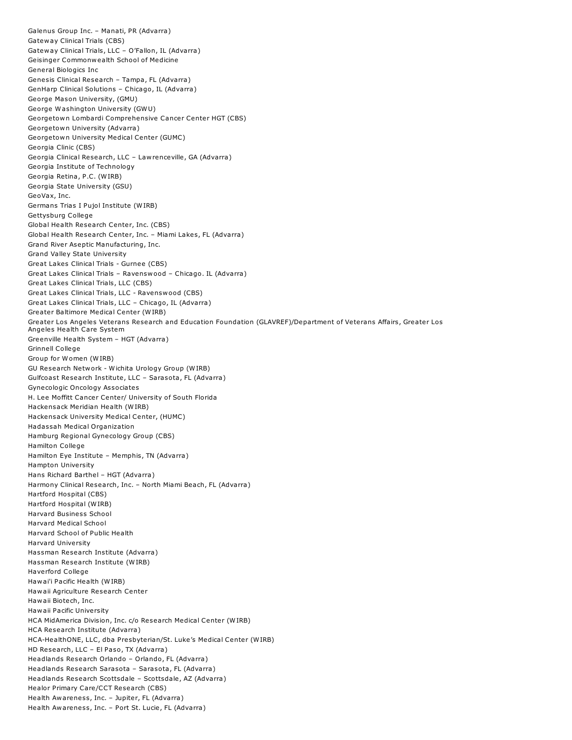Galenus Group Inc. – Manati, PR (Advarra) Gateway Clinical Trials (CBS) Gateway Clinical Trials, LLC – O'Fallon, IL (Advarra) Geisinger Commonwealth School of Medicine General Biologics Inc Genesis Clinical Research – Tampa, FL (Advarra) GenHarp Clinical Solutions – Chicago, IL (Advarra) George Mason University, (GMU) George Washington University (GWU) Georgetown Lombardi Comprehensive Cancer Center HGT (CBS) Georgetown University (Advarra) Georgetown University Medical Center (GUMC) Georgia Clinic (CBS) Georgia Clinical Research, LLC – Lawrenceville, GA (Advarra) Georgia Institute of Technology Georgia Retina, P.C. (WIRB) Georgia State University (GSU) GeoVax, Inc. Germans Trias I Pujol Institute (WIRB) Gettysburg College Global Health Research Center, Inc. (CBS) Global Health Research Center, Inc. – Miami Lakes, FL (Advarra) Grand River Aseptic Manufacturing, Inc. Grand Valley State University Great Lakes Clinical Trials - Gurnee (CBS) Great Lakes Clinical Trials – Ravenswood – Chicago. IL (Advarra) Great Lakes Clinical Trials, LLC (CBS) Great Lakes Clinical Trials, LLC - Ravenswood (CBS) Great Lakes Clinical Trials, LLC – Chicago, IL (Advarra) Greater Baltimore Medical Center (WIRB) Greater Los Angeles Veterans Research and Education Foundation (GLAVREF)/Department of Veterans Affairs, Greater Los Angeles Health Care System Greenville Health System – HGT (Advarra) Grinnell College Group for Women (WIRB) GU Research Network - Wichita Urology Group (WIRB) Gulfcoast Research Institute, LLC – Sarasota, FL (Advarra) Gynecologic Oncology Associates H. Lee Moffitt Cancer Center/ University of South Florida Hackensack Meridian Health (WIRB) Hackensack University Medical Center, (HUMC) Hadassah Medical Organization Hamburg Regional Gynecology Group (CBS) Hamilton College Hamilton Eye Institute – Memphis, TN (Advarra) Hampton University Hans Richard Barthel – HGT (Advarra) Harmony Clinical Research, Inc. – North Miami Beach, FL (Advarra) Hartford Hospital (CBS) Hartford Hospital (WIRB) Harvard Business School Harvard Medical School Harvard School of Public Health Harvard University Hassman Research Institute (Advarra) Hassman Research Institute (WIRB) Haverford College Hawai'i Pacific Health (WIRB) Hawaii Agriculture Research Center Hawaii Biotech, Inc. Hawaii Pacific University HCA MidAmerica Division, Inc. c/o Research Medical Center (WIRB) HCA Research Institute (Advarra) HCA-HealthONE, LLC, dba Presbyterian/St. Luke's Medical Center (WIRB) HD Research, LLC – El Paso, TX (Advarra) Headlands Research Orlando – Orlando, FL (Advarra) Headlands Research Sarasota – Sarasota, FL (Advarra) Headlands Research Scottsdale – Scottsdale, AZ (Advarra) Healor Primary Care/CCT Research (CBS) Health Awareness, Inc. – Jupiter, FL (Advarra) Health Awareness, Inc. – Port St. Lucie, FL (Advarra)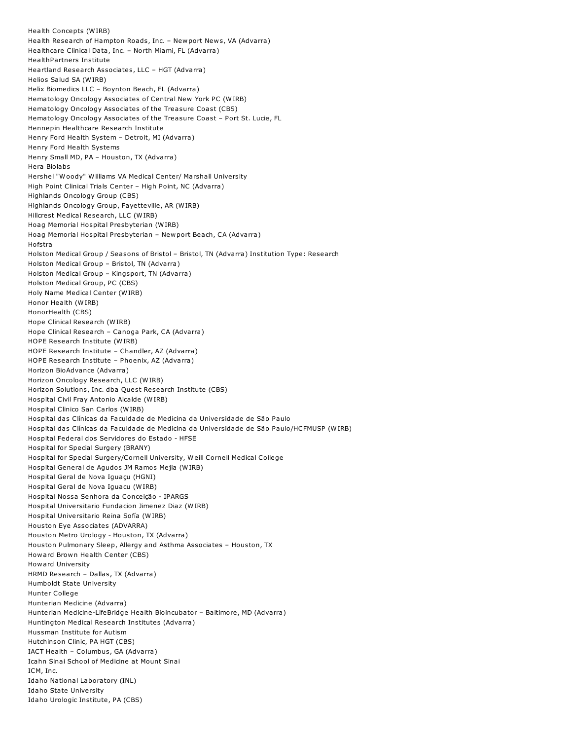Health Concepts (WIRB) Health Research of Hampton Roads, Inc. – Newport News, VA (Advarra) Healthcare Clinical Data, Inc. – North Miami, FL (Advarra) HealthPartners Institute Heartland Research Associates, LLC – HGT (Advarra) Helios Salud SA (WIRB) Helix Biomedics LLC – Boynton Beach, FL (Advarra) Hematology Oncology Associates of Central New York PC (WIRB) Hematology Oncology Associates of the Treasure Coast (CBS) Hematology Oncology Associates of the Treasure Coast – Port St. Lucie, FL Hennepin Healthcare Research Institute Henry Ford Health System – Detroit, MI (Advarra) Henry Ford Health Systems Henry Small MD, PA – Houston, TX (Advarra) Hera Biolabs Hershel "Woody" Williams VA Medical Center/ Marshall University High Point Clinical Trials Center – High Point, NC (Advarra) Highlands Oncology Group (CBS) Highlands Oncology Group, Fayetteville, AR (WIRB) Hillcrest Medical Research, LLC (WIRB) Hoag Memorial Hospital Presbyterian (WIRB) Hoag Memorial Hospital Presbyterian – Newport Beach, CA (Advarra) Hofstra Holston Medical Group / Seasons of Bristol – Bristol, TN (Advarra) Institution Type: Research Holston Medical Group – Bristol, TN (Advarra) Holston Medical Group – Kingsport, TN (Advarra) Holston Medical Group, PC (CBS) Holy Name Medical Center (WIRB) Honor Health (WIRB) HonorHealth (CBS) Hope Clinical Research (WIRB) Hope Clinical Research – Canoga Park, CA (Advarra) HOPE Research Institute (WIRB) HOPE Research Institute – Chandler, AZ (Advarra) HOPE Research Institute – Phoenix, AZ (Advarra) Horizon BioAdvance (Advarra) Horizon Oncology Research, LLC (WIRB) Horizon Solutions, Inc. dba Quest Research Institute (CBS) Hospital Civil Fray Antonio Alcalde (WIRB) Hospital Clinico San Carlos (WIRB) Hospital das Clínicas da Faculdade de Medicina da Universidade de São Paulo Hospital das Clínicas da Faculdade de Medicina da Universidade de São Paulo/HCFMUSP (WIRB) Hospital Federal dos Servidores do Estado - HFSE Hospital for Special Surgery (BRANY) Hospital for Special Surgery/Cornell University, Weill Cornell Medical College Hospital General de Agudos JM Ramos Mejia (WIRB) Hospital Geral de Nova Iguaçu (HGNI) Hospital Geral de Nova Iguacu (WIRB) Hospital Nossa Senhora da Conceição - IPARGS Hospital Universitario Fundacion Jimenez Diaz (WIRB) Hospital Universitario Reina Sofía (WIRB) Houston Eye Associates (ADVARRA) Houston Metro Urology - Houston, TX (Advarra) Houston Pulmonary Sleep, Allergy and Asthma Associates – Houston, TX Howard Brown Health Center (CBS) Howard University HRMD Research – Dallas, TX (Advarra) Humboldt State University Hunter College Hunterian Medicine (Advarra) Hunterian Medicine-LifeBridge Health Bioincubator – Baltimore, MD (Advarra) Huntington Medical Research Institutes (Advarra) Hussman Institute for Autism Hutchinson Clinic, PA HGT (CBS) IACT Health – Columbus, GA (Advarra) Icahn Sinai School of Medicine at Mount Sinai ICM, Inc. Idaho National Laboratory (INL) Idaho State University Idaho Urologic Institute, PA (CBS)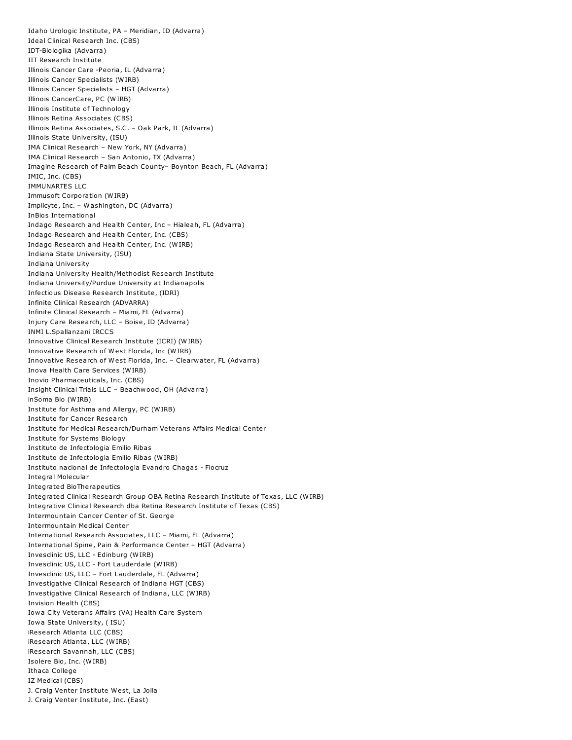Idaho Urologic Institute, PA – Meridian, ID (Advarra) Ideal Clinical Research Inc. (CBS) IDT-Biologika (Advarra) IIT Research Institute Illinois Cancer Care -Peoria, IL (Advarra) Illinois Cancer Specialists (WIRB) Illinois Cancer Specialists – HGT (Advarra) Illinois CancerCare, PC (WIRB) Illinois Institute of Technology Illinois Retina Associates (CBS) Illinois Retina Associates, S.C. – Oak Park, IL (Advarra) Illinois State University, (ISU) IMA Clinical Research – New York, NY (Advarra) IMA Clinical Research – San Antonio, TX (Advarra) Imagine Research of Palm Beach County– Boynton Beach, FL (Advarra) IMIC, Inc. (CBS) IMMUNARTES LLC Immusoft Corporation (WIRB) Implicyte, Inc. – Washington, DC (Advarra) InBios International Indago Research and Health Center, Inc – Hialeah, FL (Advarra) Indago Research and Health Center, Inc. (CBS) Indago Research and Health Center, Inc. (WIRB) Indiana State University, (ISU) Indiana University Indiana University Health/Methodist Research Institute Indiana University/Purdue University at Indianapolis Infectious Disease Research Institute, (IDRI) Infinite Clinical Research (ADVARRA) Infinite Clinical Research – Miami, FL (Advarra) Injury Care Research, LLC – Boise, ID (Advarra) INMI L.Spallanzani IRCCS Innovative Clinical Research Institute (ICRI) (WIRB) Innovative Research of West Florida, Inc (WIRB) Innovative Research of West Florida, Inc. – Clearwater, FL (Advarra) Inova Health Care Services (WIRB) Inovio Pharmaceuticals, Inc. (CBS) Insight Clinical Trials LLC – Beachwood, OH (Advarra) inSoma Bio (WIRB) Institute for Asthma and Allergy, PC (WIRB) Institute for Cancer Research Institute for Medical Research/Durham Veterans Affairs Medical Center Institute for Systems Biology Instituto de Infectologia Emilio Ribas Instituto de Infectologia Emilio Ribas (WIRB) Instituto nacional de Infectologia Evandro Chagas - Fiocruz Integral Molecular Integrated BioTherapeutics Integrated Clinical Research Group OBA Retina Research Institute of Texas, LLC (WIRB) Integrative Clinical Research dba Retina Research Institute of Texas (CBS) Intermountain Cancer Center of St. George Intermountain Medical Center International Research Associates, LLC – Miami, FL (Advarra) International Spine, Pain & Performance Center – HGT (Advarra) Invesclinic US, LLC - Edinburg (WIRB) Invesclinic US, LLC - Fort Lauderdale (WIRB) Invesclinic US, LLC – Fort Lauderdale, FL (Advarra) Investigative Clinical Research of Indiana HGT (CBS) Investigative Clinical Research of Indiana, LLC (WIRB) Invision Health (CBS) Iowa City Veterans Affairs (VA) Health Care System Iowa State University, ( ISU) iResearch Atlanta LLC (CBS) iResearch Atlanta, LLC (WIRB) iResearch Savannah, LLC (CBS) Isolere Bio, Inc. (WIRB) Ithaca College IZ Medical (CBS) J. Craig Venter Institute West, La Jolla J. Craig Venter Institute, Inc. (East)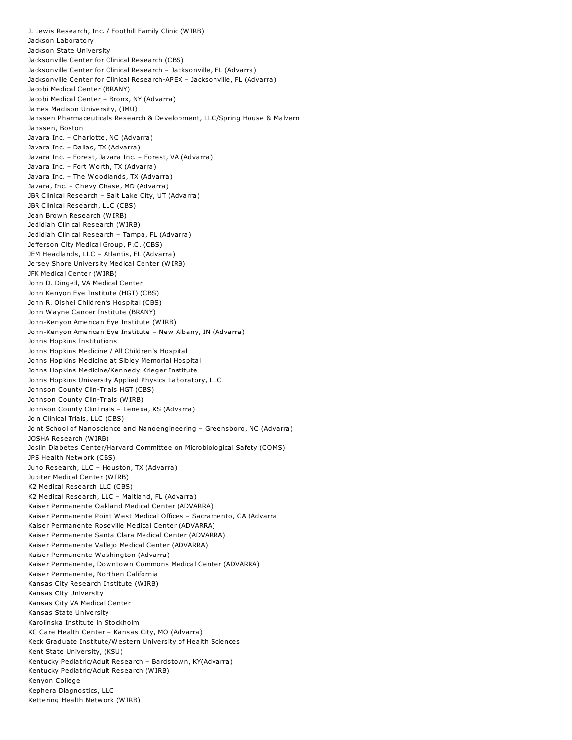J. Lewis Research, Inc. / Foothill Family Clinic (WIRB) Jackson Laboratory Jackson State University Jacksonville Center for Clinical Research (CBS) Jacksonville Center for Clinical Research – Jacksonville, FL (Advarra) Jacksonville Center for Clinical Research-APEX – Jacksonville, FL (Advarra) Jacobi Medical Center (BRANY) Jacobi Medical Center – Bronx, NY (Advarra) James Madison University, (JMU) Janssen Pharmaceuticals Research & Development, LLC/Spring House & Malvern Janssen, Boston Javara Inc. – Charlotte, NC (Advarra) Javara Inc. – Dallas, TX (Advarra) Javara Inc. – Forest, Javara Inc. – Forest, VA (Advarra) Javara Inc. – Fort Worth, TX (Advarra) Javara Inc. – The Woodlands, TX (Advarra) Javara, Inc. – Chevy Chase, MD (Advarra) JBR Clinical Research – Salt Lake City, UT (Advarra) JBR Clinical Research, LLC (CBS) Jean Brown Research (WIRB) Jedidiah Clinical Research (WIRB) Jedidiah Clinical Research – Tampa, FL (Advarra) Jefferson City Medical Group, P.C. (CBS) JEM Headlands, LLC – Atlantis, FL (Advarra) Jersey Shore University Medical Center (WIRB) JFK Medical Center (WIRB) John D. Dingell, VA Medical Center John Kenyon Eye Institute (HGT) (CBS) John R. Oishei Children's Hospital (CBS) John Wayne Cancer Institute (BRANY) John-Kenyon American Eye Institute (WIRB) John-Kenyon American Eye Institute – New Albany, IN (Advarra) Johns Hopkins Institutions Johns Hopkins Medicine / All Children's Hospital Johns Hopkins Medicine at Sibley Memorial Hospital Johns Hopkins Medicine/Kennedy Krieger Institute Johns Hopkins University Applied Physics Laboratory, LLC Johnson County Clin-Trials HGT (CBS) Johnson County Clin-Trials (WIRB) Johnson County ClinTrials – Lenexa, KS (Advarra) Join Clinical Trials, LLC (CBS) Joint School of Nanoscience and Nanoengineering – Greensboro, NC (Advarra) JOSHA Research (WIRB) Joslin Diabetes Center/Harvard Committee on Microbiological Safety (COMS) JPS Health Network (CBS) Juno Research, LLC – Houston, TX (Advarra) Jupiter Medical Center (WIRB) K2 Medical Research LLC (CBS) K2 Medical Research, LLC – Maitland, FL (Advarra) Kaiser Permanente Oakland Medical Center (ADVARRA) Kaiser Permanente Point West Medical Offices – Sacramento, CA (Advarra Kaiser Permanente Roseville Medical Center (ADVARRA) Kaiser Permanente Santa Clara Medical Center (ADVARRA) Kaiser Permanente Vallejo Medical Center (ADVARRA) Kaiser Permanente Washington (Advarra) Kaiser Permanente, Downtown Commons Medical Center (ADVARRA) Kaiser Permanente, Northen California Kansas City Research Institute (WIRB) Kansas City University Kansas City VA Medical Center Kansas State University Karolinska Institute in Stockholm KC Care Health Center – Kansas City, MO (Advarra) Keck Graduate Institute/Western University of Health Sciences Kent State University, (KSU) Kentucky Pediatric/Adult Research – Bardstown, KY(Advarra) Kentucky Pediatric/Adult Research (WIRB) Kenyon College Kephera Diagnostics, LLC Kettering Health Network (WIRB)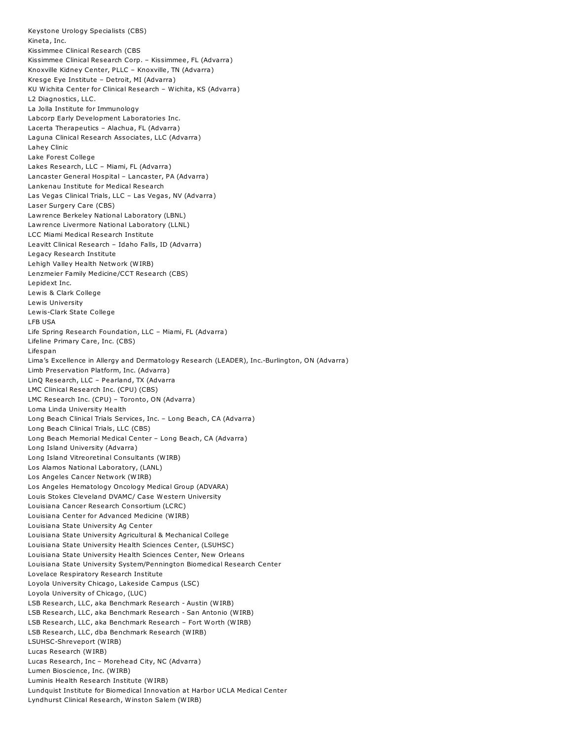Keystone Urology Specialists (CBS) Kineta, Inc. Kissimmee Clinical Research (CBS Kissimmee Clinical Research Corp. – Kissimmee, FL (Advarra) Knoxville Kidney Center, PLLC – Knoxville, TN (Advarra) Kresge Eye Institute – Detroit, MI (Advarra) KU Wichita Center for Clinical Research – Wichita, KS (Advarra) L2 Diagnostics, LLC. La Jolla Institute for Immunology Labcorp Early Development Laboratories Inc. Lacerta Therapeutics – Alachua, FL (Advarra) Laguna Clinical Research Associates, LLC (Advarra) Lahey Clinic Lake Forest College Lakes Research, LLC – Miami, FL (Advarra) Lancaster General Hospital – Lancaster, PA (Advarra) Lankenau Institute for Medical Research Las Vegas Clinical Trials, LLC – Las Vegas, NV (Advarra) Laser Surgery Care (CBS) Lawrence Berkeley National Laboratory (LBNL) Lawrence Livermore National Laboratory (LLNL) LCC Miami Medical Research Institute Leavitt Clinical Research – Idaho Falls, ID (Advarra) Legacy Research Institute Lehigh Valley Health Network (WIRB) Lenzmeier Family Medicine/CCT Research (CBS) Lepidext Inc. Lewis & Clark College Lewis University Lewis-Clark State College LFB USA Life Spring Research Foundation, LLC – Miami, FL (Advarra) Lifeline Primary Care, Inc. (CBS) Lifespan Lima's Excellence in Allergy and Dermatology Research (LEADER), Inc.-Burlington, ON (Advarra) Limb Preservation Platform, Inc. (Advarra) LinQ Research, LLC – Pearland, TX (Advarra LMC Clinical Research Inc. (CPU) (CBS) LMC Research Inc. (CPU) – Toronto, ON (Advarra) Loma Linda University Health Long Beach Clinical Trials Services, Inc. – Long Beach, CA (Advarra) Long Beach Clinical Trials, LLC (CBS) Long Beach Memorial Medical Center – Long Beach, CA (Advarra) Long Island University (Advarra) Long Island Vitreoretinal Consultants (WIRB) Los Alamos National Laboratory, (LANL) Los Angeles Cancer Network (WIRB) Los Angeles Hematology Oncology Medical Group (ADVARA) Louis Stokes Cleveland DVAMC/ Case Western University Louisiana Cancer Research Consortium (LCRC) Louisiana Center for Advanced Medicine (WIRB) Louisiana State University Ag Center Louisiana State University Agricultural & Mechanical College Louisiana State University Health Sciences Center, (LSUHSC) Louisiana State University Health Sciences Center, New Orleans Louisiana State University System/Pennington Biomedical Research Center Lovelace Respiratory Research Institute Loyola University Chicago, Lakeside Campus (LSC) Loyola University of Chicago, (LUC) LSB Research, LLC, aka Benchmark Research - Austin (WIRB) LSB Research, LLC, aka Benchmark Research - San Antonio (WIRB) LSB Research, LLC, aka Benchmark Research – Fort Worth (WIRB) LSB Research, LLC, dba Benchmark Research (WIRB) LSUHSC-Shreveport (WIRB) Lucas Research (WIRB) Lucas Research, Inc – Morehead City, NC (Advarra) Lumen Bioscience, Inc. (WIRB) Luminis Health Research Institute (WIRB) Lundquist Institute for Biomedical Innovation at Harbor UCLA Medical Center Lyndhurst Clinical Research, Winston Salem (WIRB)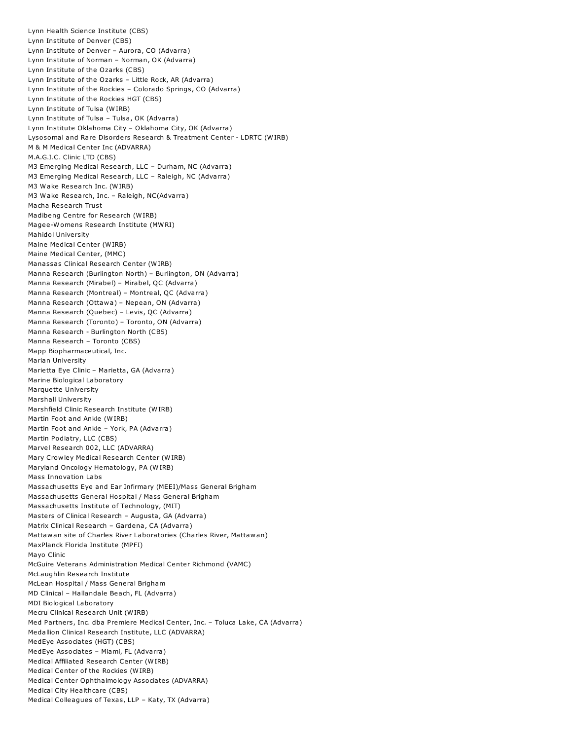Lynn Health Science Institute (CBS) Lynn Institute of Denver (CBS) Lynn Institute of Denver – Aurora, CO (Advarra) Lynn Institute of Norman – Norman, OK (Advarra) Lynn Institute of the Ozarks (CBS) Lynn Institute of the Ozarks – Little Rock, AR (Advarra) Lynn Institute of the Rockies – Colorado Springs, CO (Advarra) Lynn Institute of the Rockies HGT (CBS) Lynn Institute of Tulsa (WIRB) Lynn Institute of Tulsa – Tulsa, OK (Advarra) Lynn Institute Oklahoma City – Oklahoma City, OK (Advarra) Lysosomal and Rare Disorders Research & Treatment Center - LDRTC (WIRB) M & M Medical Center Inc (ADVARRA) M.A.G.I.C. Clinic LTD (CBS) M3 Emerging Medical Research, LLC – Durham, NC (Advarra) M3 Emerging Medical Research, LLC – Raleigh, NC (Advarra) M3 Wake Research Inc. (WIRB) M3 Wake Research, Inc. – Raleigh, NC(Advarra) Macha Research Trust Madibeng Centre for Research (WIRB) Magee-Womens Research Institute (MWRI) Mahidol University Maine Medical Center (WIRB) Maine Medical Center, (MMC) Manassas Clinical Research Center (WIRB) Manna Research (Burlington North) – Burlington, ON (Advarra) Manna Research (Mirabel) – Mirabel, QC (Advarra) Manna Research (Montreal) – Montreal, QC (Advarra) Manna Research (Ottawa) – Nepean, ON (Advarra) Manna Research (Quebec) – Levis, QC (Advarra) Manna Research (Toronto) – Toronto, ON (Advarra) Manna Research - Burlington North (CBS) Manna Research – Toronto (CBS) Mapp Biopharmaceutical, Inc. Marian University Marietta Eye Clinic – Marietta, GA (Advarra) Marine Biological Laboratory Marquette University Marshall University Marshfield Clinic Research Institute (WIRB) Martin Foot and Ankle (WIRB) Martin Foot and Ankle – York, PA (Advarra) Martin Podiatry, LLC (CBS) Marvel Research 002, LLC (ADVARRA) Mary Crowley Medical Research Center (WIRB) Maryland Oncology Hematology, PA (WIRB) Mass Innovation Labs Massachusetts Eye and Ear Infirmary (MEEI)/Mass General Brigham Massachusetts General Hospital / Mass General Brigham Massachusetts Institute of Technology, (MIT) Masters of Clinical Research – Augusta, GA (Advarra) Matrix Clinical Research – Gardena, CA (Advarra) Mattawan site of Charles River Laboratories (Charles River, Mattawan) MaxPlanck Florida Institute (MPFI) Mayo Clinic McGuire Veterans Administration Medical Center Richmond (VAMC) McLaughlin Research Institute McLean Hospital / Mass General Brigham MD Clinical – Hallandale Beach, FL (Advarra) MDI Biological Laboratory Mecru Clinical Research Unit (WIRB) Med Partners, Inc. dba Premiere Medical Center, Inc. – Toluca Lake, CA (Advarra) Medallion Clinical Research Institute, LLC (ADVARRA) MedEye Associates (HGT) (CBS) MedEye Associates – Miami, FL (Advarra) Medical Affiliated Research Center (WIRB) Medical Center of the Rockies (WIRB) Medical Center Ophthalmology Associates (ADVARRA) Medical City Healthcare (CBS) Medical Colleagues of Texas, LLP – Katy, TX (Advarra)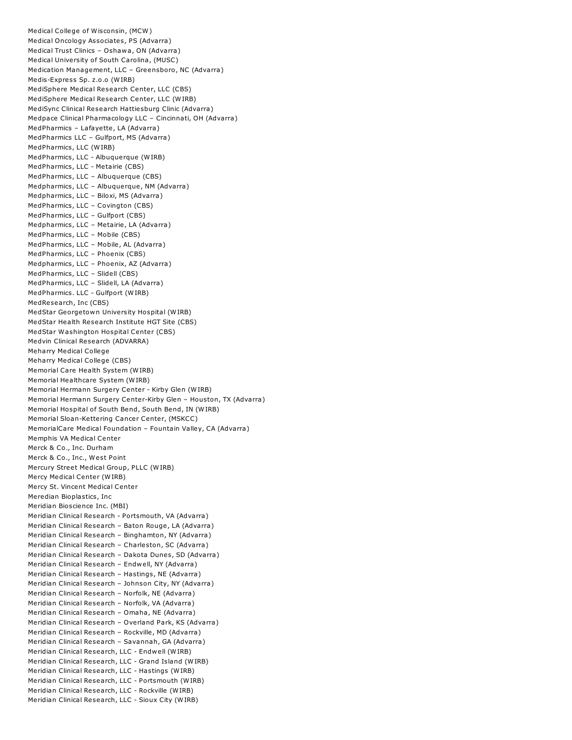Medical College of Wisconsin, (MCW) Medical Oncology Associates, PS (Advarra) Medical Trust Clinics – Oshawa, ON (Advarra) Medical University of South Carolina, (MUSC) Medication Management, LLC – Greensboro, NC (Advarra) Medis-Express Sp. z.o.o (WIRB) MediSphere Medical Research Center, LLC (CBS) MediSphere Medical Research Center, LLC (WIRB) MediSync Clinical Research Hattiesburg Clinic (Advarra) Medpace Clinical Pharmacology LLC – Cincinnati, OH (Advarra) MedPharmics – Lafayette, LA (Advarra) MedPharmics LLC – Gulfport, MS (Advarra) MedPharmics, LLC (WIRB) MedPharmics, LLC - Albuquerque (WIRB) MedPharmics, LLC - Metairie (CBS) MedPharmics, LLC – Albuquerque (CBS) Medpharmics, LLC – Albuquerque, NM (Advarra) Medpharmics, LLC – Biloxi, MS (Advarra) MedPharmics, LLC – Covington (CBS) MedPharmics, LLC – Gulfport (CBS) Medpharmics, LLC – Metairie, LA (Advarra) MedPharmics, LLC – Mobile (CBS) MedPharmics, LLC – Mobile, AL (Advarra) MedPharmics, LLC – Phoenix (CBS) Medpharmics, LLC – Phoenix, AZ (Advarra) MedPharmics, LLC – Slidell (CBS) MedPharmics, LLC – Slidell, LA (Advarra) MedPharmics. LLC - Gulfport (WIRB) MedResearch, Inc (CBS) MedStar Georgetown University Hospital (WIRB) MedStar Health Research Institute HGT Site (CBS) MedStar Washington Hospital Center (CBS) Medvin Clinical Research (ADVARRA) Meharry Medical College Meharry Medical College (CBS) Memorial Care Health System (WIRB) Memorial Healthcare System (WIRB) Memorial Hermann Surgery Center - Kirby Glen (WIRB) Memorial Hermann Surgery Center-Kirby Glen – Houston, TX (Advarra) Memorial Hospital of South Bend, South Bend, IN (WIRB) Memorial Sloan-Kettering Cancer Center, (MSKCC) MemorialCare Medical Foundation – Fountain Valley, CA (Advarra) Memphis VA Medical Center Merck & Co., Inc. Durham Merck & Co., Inc., West Point Mercury Street Medical Group, PLLC (WIRB) Mercy Medical Center (WIRB) Mercy St. Vincent Medical Center Meredian Bioplastics, Inc Meridian Bioscience Inc. (MBI) Meridian Clinical Research - Portsmouth, VA (Advarra) Meridian Clinical Research – Baton Rouge, LA (Advarra) Meridian Clinical Research – Binghamton, NY (Advarra) Meridian Clinical Research – Charleston, SC (Advarra) Meridian Clinical Research – Dakota Dunes, SD (Advarra) Meridian Clinical Research – Endwell, NY (Advarra) Meridian Clinical Research – Hastings, NE (Advarra) Meridian Clinical Research – Johnson City, NY (Advarra) Meridian Clinical Research – Norfolk, NE (Advarra) Meridian Clinical Research – Norfolk, VA (Advarra) Meridian Clinical Research – Omaha, NE (Advarra) Meridian Clinical Research – Overland Park, KS (Advarra) Meridian Clinical Research – Rockville, MD (Advarra) Meridian Clinical Research – Savannah, GA (Advarra) Meridian Clinical Research, LLC - Endwell (WIRB) Meridian Clinical Research, LLC - Grand Island (WIRB) Meridian Clinical Research, LLC - Hastings (WIRB) Meridian Clinical Research, LLC - Portsmouth (WIRB) Meridian Clinical Research, LLC - Rockville (WIRB) Meridian Clinical Research, LLC - Sioux City (WIRB)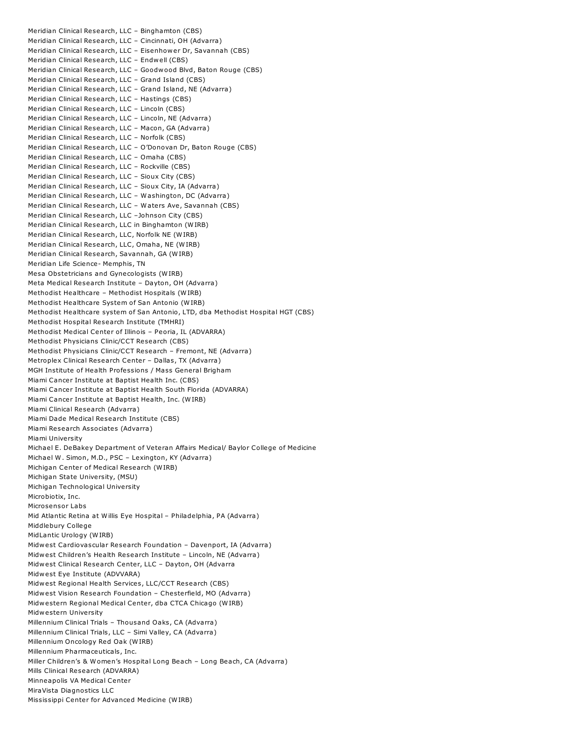Meridian Clinical Research, LLC – Binghamton (CBS) Meridian Clinical Research, LLC – Cincinnati, OH (Advarra) Meridian Clinical Research, LLC – Eisenhower Dr, Savannah (CBS) Meridian Clinical Research, LLC – Endwell (CBS) Meridian Clinical Research, LLC – Goodwood Blvd, Baton Rouge (CBS) Meridian Clinical Research, LLC – Grand Island (CBS) Meridian Clinical Research, LLC – Grand Island, NE (Advarra) Meridian Clinical Research, LLC – Hastings (CBS) Meridian Clinical Research, LLC – Lincoln (CBS) Meridian Clinical Research, LLC – Lincoln, NE (Advarra) Meridian Clinical Research, LLC – Macon, GA (Advarra) Meridian Clinical Research, LLC – Norfolk (CBS) Meridian Clinical Research, LLC – O'Donovan Dr, Baton Rouge (CBS) Meridian Clinical Research, LLC – Omaha (CBS) Meridian Clinical Research, LLC – Rockville (CBS) Meridian Clinical Research, LLC – Sioux City (CBS) Meridian Clinical Research, LLC – Sioux City, IA (Advarra) Meridian Clinical Research, LLC – Washington, DC (Advarra) Meridian Clinical Research, LLC – Waters Ave, Savannah (CBS) Meridian Clinical Research, LLC –Johnson City (CBS) Meridian Clinical Research, LLC in Binghamton (WIRB) Meridian Clinical Research, LLC, Norfolk NE (WIRB) Meridian Clinical Research, LLC, Omaha, NE (WIRB) Meridian Clinical Research, Savannah, GA (WIRB) Meridian Life Science- Memphis, TN Mesa Obstetricians and Gynecologists (WIRB) Meta Medical Research Institute – Dayton, OH (Advarra) Methodist Healthcare – Methodist Hospitals (WIRB) Methodist Healthcare System of San Antonio (WIRB) Methodist Healthcare system of San Antonio, LTD, dba Methodist Hospital HGT (CBS) Methodist Hospital Research Institute (TMHRI) Methodist Medical Center of Illinois – Peoria, IL (ADVARRA) Methodist Physicians Clinic/CCT Research (CBS) Methodist Physicians Clinic/CCT Research – Fremont, NE (Advarra) Metroplex Clinical Research Center – Dallas, TX (Advarra) MGH Institute of Health Professions / Mass General Brigham Miami Cancer Institute at Baptist Health Inc. (CBS) Miami Cancer Institute at Baptist Health South Florida (ADVARRA) Miami Cancer Institute at Baptist Health, Inc. (WIRB) Miami Clinical Research (Advarra) Miami Dade Medical Research Institute (CBS) Miami Research Associates (Advarra) Miami University Michael E. DeBakey Department of Veteran Affairs Medical/ Baylor College of Medicine Michael W. Simon, M.D., PSC – Lexington, KY (Advarra) Michigan Center of Medical Research (WIRB) Michigan State University, (MSU) Michigan Technological University Microbiotix, Inc. Microsensor Labs Mid Atlantic Retina at Willis Eye Hospital – Philadelphia, PA (Advarra) Middlebury College MidLantic Urology (WIRB) Midwest Cardiovascular Research Foundation – Davenport, IA (Advarra) Midwest Children's Health Research Institute – Lincoln, NE (Advarra) Midwest Clinical Research Center, LLC – Dayton, OH (Advarra Midwest Eye Institute (ADVVARA) Midwest Regional Health Services, LLC/CCT Research (CBS) Midwest Vision Research Foundation – Chesterfield, MO (Advarra) Midwestern Regional Medical Center, dba CTCA Chicago (WIRB) Midwestern University Millennium Clinical Trials – Thousand Oaks, CA (Advarra) Millennium Clinical Trials, LLC – Simi Valley, CA (Advarra) Millennium Oncology Red Oak (WIRB) Millennium Pharmaceuticals, Inc. Miller Children's & Women's Hospital Long Beach – Long Beach, CA (Advarra) Mills Clinical Research (ADVARRA) Minneapolis VA Medical Center MiraVista Diagnostics LLC Mississippi Center for Advanced Medicine (WIRB)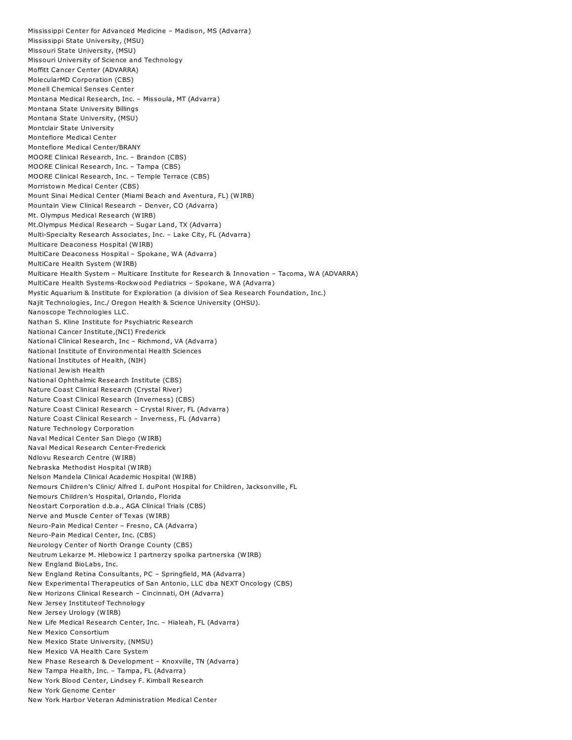Mississippi Center for Advanced Medicine – Madison, MS (Advarra) Mississippi State University, (MSU) Missouri State University, (MSU) Missouri University of Science and Technology Moffitt Cancer Center (ADVARRA) MolecularMD Corporation (CBS) Monell Chemical Senses Center Montana Medical Research, Inc. – Missoula, MT (Advarra) Montana State University Billings Montana State University, (MSU) Montclair State University Montefiore Medical Center Montefiore Medical Center/BRANY MOORE Clinical Research, Inc. – Brandon (CBS) MOORE Clinical Research, Inc. – Tampa (CBS) MOORE Clinical Research, Inc. – Temple Terrace (CBS) Morristown Medical Center (CBS) Mount Sinai Medical Center (Miami Beach and Aventura, FL) (WIRB) Mountain View Clinical Research – Denver, CO (Advarra) Mt. Olympus Medical Research (WIRB) Mt.Olympus Medical Research – Sugar Land, TX (Advarra) Multi-Specialty Research Associates, Inc. – Lake City, FL (Advarra) Multicare Deaconess Hospital (WIRB) MultiCare Deaconess Hospital – Spokane, WA (Advarra) MultiCare Health System (WIRB) Multicare Health System – Multicare Institute for Research & Innovation – Tacoma, WA (ADVARRA) MultiCare Health Systems-Rockwood Pediatrics – Spokane, WA (Advarra) Mystic Aquarium & Institute for Exploration (a division of Sea Research Foundation, Inc.) Najit Technologies, Inc./ Oregon Health & Science University (OHSU). Nanoscope Technologies LLC. Nathan S. Kline Institute for Psychiatric Research National Cancer Institute,(NCI) Frederick National Clinical Research, Inc – Richmond, VA (Advarra) National Institute of Environmental Health Sciences National Institutes of Health, (NIH) National Jewish Health National Ophthalmic Research Institute (CBS) Nature Coast Clinical Research (Crystal River) Nature Coast Clinical Research (Inverness) (CBS) Nature Coast Clinical Research – Crystal River, FL (Advarra) Nature Coast Clinical Research – Inverness, FL (Advarra) Nature Technology Corporation Naval Medical Center San Diego (WIRB) Naval Medical Research Center-Frederick Ndlovu Research Centre (WIRB) Nebraska Methodist Hospital (WIRB) Nelson Mandela Clinical Academic Hospital (WIRB) Nemours Children's Clinic/ Alfred I. duPont Hospital for Children, Jacksonville, FL Nemours Children's Hospital, Orlando, Florida Neostart Corporation d.b.a., AGA Clinical Trials (CBS) Nerve and Muscle Center of Texas (WIRB) Neuro-Pain Medical Center – Fresno, CA (Advarra) Neuro-Pain Medical Center, Inc. (CBS) Neurology Center of North Orange County (CBS) Neutrum Lekarze M. Hlebowicz I partnerzy spolka partnerska (WIRB) New England BioLabs, Inc. New England Retina Consultants, PC – Springfield, MA (Advarra) New Experimental Therapeutics of San Antonio, LLC dba NEXT Oncology (CBS) New Horizons Clinical Research – Cincinnati, OH (Advarra) New Jersey Instituteof Technology New Jersey Urology (WIRB) New Life Medical Research Center, Inc. – Hialeah, FL (Advarra) New Mexico Consortium New Mexico State University, (NMSU) New Mexico VA Health Care System New Phase Research & Development – Knoxville, TN (Advarra) New Tampa Health, Inc. – Tampa, FL (Advarra) New York Blood Center, Lindsey F. Kimball Research New York Genome Center New York Harbor Veteran Administration Medical Center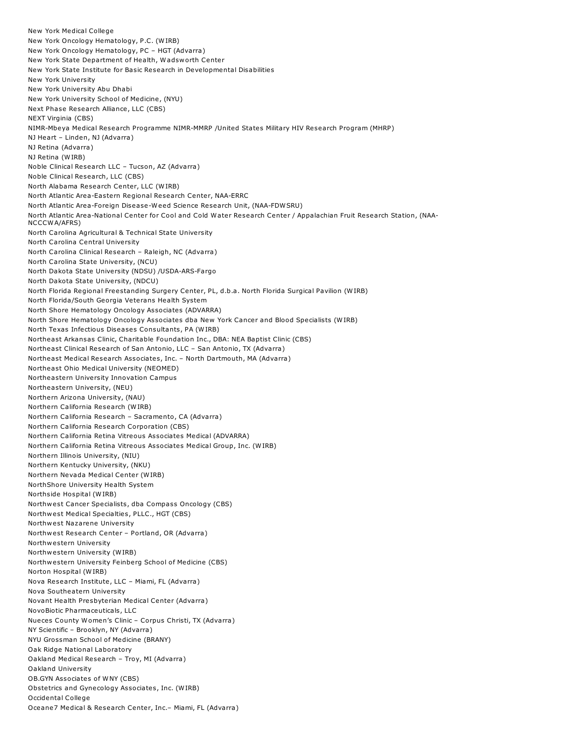New York Medical College New York Oncology Hematology, P.C. (WIRB) New York Oncology Hematology, PC – HGT (Advarra) New York State Department of Health, Wadsworth Center New York State Institute for Basic Research in Developmental Disabilities New York University New York University Abu Dhabi New York University School of Medicine, (NYU) Next Phase Research Alliance, LLC (CBS) NEXT Virginia (CBS) NIMR-Mbeya Medical Research Programme NIMR-MMRP /United States Military HIV Research Program (MHRP) NJ Heart – Linden, NJ (Advarra) NJ Retina (Advarra) NJ Retina (WIRB) Noble Clinical Research LLC – Tucson, AZ (Advarra) Noble Clinical Research, LLC (CBS) North Alabama Research Center, LLC (WIRB) North Atlantic Area-Eastern Regional Research Center, NAA-ERRC North Atlantic Area-Foreign Disease-Weed Science Research Unit, (NAA-FDWSRU) North Atlantic Area-National Center for Cool and Cold Water Research Center / Appalachian Fruit Research Station, (NAA-NCCCWA/AFRS) North Carolina Agricultural & Technical State University North Carolina Central University North Carolina Clinical Research – Raleigh, NC (Advarra) North Carolina State University, (NCU) North Dakota State University (NDSU) /USDA-ARS-Fargo North Dakota State University, (NDCU) North Florida Regional Freestanding Surgery Center, PL, d.b.a. North Florida Surgical Pavilion (WIRB) North Florida/South Georgia Veterans Health System North Shore Hematology Oncology Associates (ADVARRA) North Shore Hematology Oncology Associates dba New York Cancer and Blood Specialists (WIRB) North Texas Infectious Diseases Consultants, PA (WIRB) Northeast Arkansas Clinic, Charitable Foundation Inc., DBA: NEA Baptist Clinic (CBS) Northeast Clinical Research of San Antonio, LLC – San Antonio, TX (Advarra) Northeast Medical Research Associates, Inc. – North Dartmouth, MA (Advarra) Northeast Ohio Medical University (NEOMED) Northeastern University Innovation Campus Northeastern University, (NEU) Northern Arizona University, (NAU) Northern California Research (WIRB) Northern California Research – Sacramento, CA (Advarra) Northern California Research Corporation (CBS) Northern California Retina Vitreous Associates Medical (ADVARRA) Northern California Retina Vitreous Associates Medical Group, Inc. (WIRB) Northern Illinois University, (NIU) Northern Kentucky University, (NKU) Northern Nevada Medical Center (WIRB) NorthShore University Health System Northside Hospital (WIRB) Northwest Cancer Specialists, dba Compass Oncology (CBS) Northwest Medical Specialties, PLLC., HGT (CBS) Northwest Nazarene University Northwest Research Center – Portland, OR (Advarra) Northwestern University Northwestern University (WIRB) Northwestern University Feinberg School of Medicine (CBS) Norton Hospital (WIRB) Nova Research Institute, LLC – Miami, FL (Advarra) Nova Southeatern University Novant Health Presbyterian Medical Center (Advarra) NovoBiotic Pharmaceuticals, LLC Nueces County Women's Clinic – Corpus Christi, TX (Advarra) NY Scientific – Brooklyn, NY (Advarra) NYU Grossman School of Medicine (BRANY) Oak Ridge National Laboratory Oakland Medical Research – Troy, MI (Advarra) Oakland University OB.GYN Associates of WNY (CBS) Obstetrics and Gynecology Associates, Inc. (WIRB) Occidental College Oceane7 Medical & Research Center, Inc.– Miami, FL (Advarra)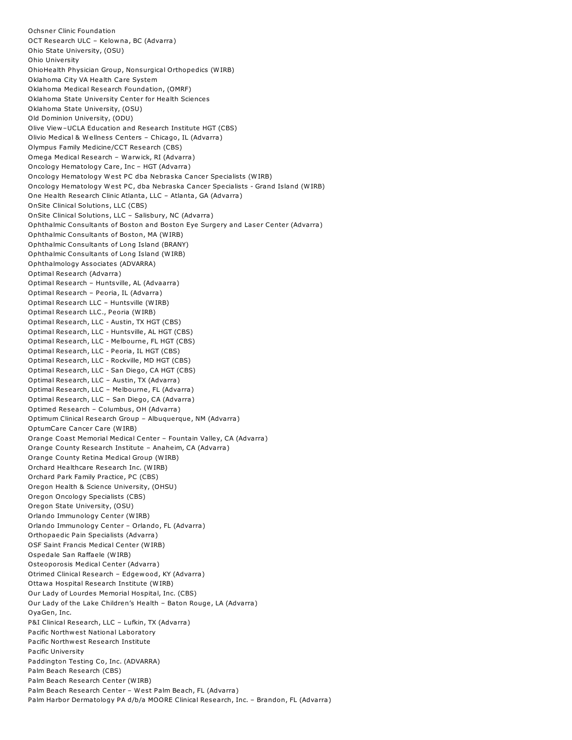Ochsner Clinic Foundation OCT Research ULC – Kelowna, BC (Advarra) Ohio State University, (OSU) Ohio University OhioHealth Physician Group, Nonsurgical Orthopedics (WIRB) Oklahoma City VA Health Care System Oklahoma Medical Research Foundation, (OMRF) Oklahoma State University Center for Health Sciences Oklahoma State University, (OSU) Old Dominion University, (ODU) Olive View–UCLA Education and Research Institute HGT (CBS) Olivio Medical & Wellness Centers – Chicago, IL (Advarra) Olympus Family Medicine/CCT Research (CBS) Omega Medical Research – Warwick, RI (Advarra) Oncology Hematology Care, Inc – HGT (Advarra) Oncology Hematology West PC dba Nebraska Cancer Specialists (WIRB) Oncology Hematology West PC, dba Nebraska Cancer Specialists - Grand Island (WIRB) One Health Research Clinic Atlanta, LLC – Atlanta, GA (Advarra) OnSite Clinical Solutions, LLC (CBS) OnSite Clinical Solutions, LLC – Salisbury, NC (Advarra) Ophthalmic Consultants of Boston and Boston Eye Surgery and Laser Center (Advarra) Ophthalmic Consultants of Boston, MA (WIRB) Ophthalmic Consultants of Long Island (BRANY) Ophthalmic Consultants of Long Island (WIRB) Ophthalmology Associates (ADVARRA) Optimal Research (Advarra) Optimal Research – Huntsville, AL (Advaarra) Optimal Research – Peoria, IL (Advarra) Optimal Research LLC – Huntsville (WIRB) Optimal Research LLC., Peoria (WIRB) Optimal Research, LLC - Austin, TX HGT (CBS) Optimal Research, LLC - Huntsville, AL HGT (CBS) Optimal Research, LLC - Melbourne, FL HGT (CBS) Optimal Research, LLC - Peoria, IL HGT (CBS) Optimal Research, LLC - Rockville, MD HGT (CBS) Optimal Research, LLC - San Diego, CA HGT (CBS) Optimal Research, LLC – Austin, TX (Advarra) Optimal Research, LLC – Melbourne, FL (Advarra) Optimal Research, LLC – San Diego, CA (Advarra) Optimed Research – Columbus, OH (Advarra) Optimum Clinical Research Group – Albuquerque, NM (Advarra) OptumCare Cancer Care (WIRB) Orange Coast Memorial Medical Center – Fountain Valley, CA (Advarra) Orange County Research Institute – Anaheim, CA (Advarra) Orange County Retina Medical Group (WIRB) Orchard Healthcare Research Inc. (WIRB) Orchard Park Family Practice, PC (CBS) Oregon Health & Science University, (OHSU) Oregon Oncology Specialists (CBS) Oregon State University, (OSU) Orlando Immunology Center (WIRB) Orlando Immunology Center – Orlando, FL (Advarra) Orthopaedic Pain Specialists (Advarra) OSF Saint Francis Medical Center (WIRB) Ospedale San Raffaele (WIRB) Osteoporosis Medical Center (Advarra) Otrimed Clinical Research – Edgewood, KY (Advarra) Ottawa Hospital Research Institute (WIRB) Our Lady of Lourdes Memorial Hospital, Inc. (CBS) Our Lady of the Lake Children's Health – Baton Rouge, LA (Advarra) OyaGen, Inc. P&I Clinical Research, LLC – Lufkin, TX (Advarra) Pacific Northwest National Laboratory Pacific Northwest Research Institute Pacific University Paddington Testing Co, Inc. (ADVARRA) Palm Beach Research (CBS) Palm Beach Research Center (WIRB) Palm Beach Research Center – West Palm Beach, FL (Advarra) Palm Harbor Dermatology PA d/b/a MOORE Clinical Research, Inc. – Brandon, FL (Advarra)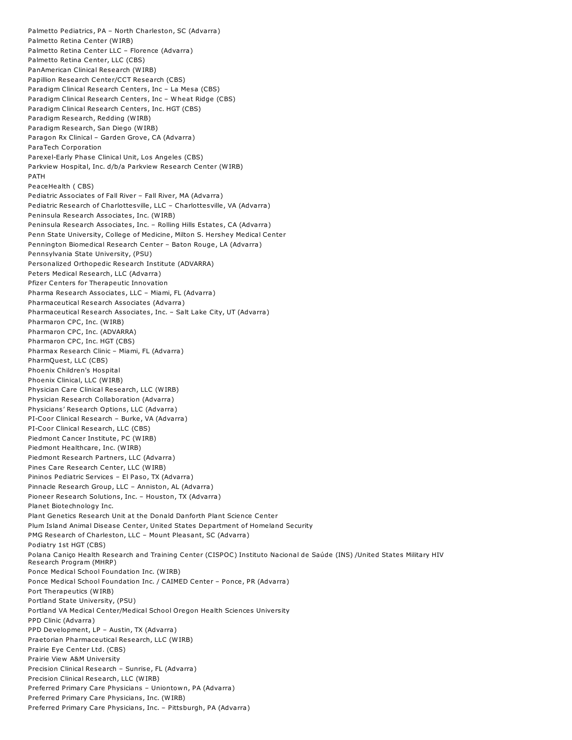Palmetto Pediatrics, PA – North Charleston, SC (Advarra) Palmetto Retina Center (WIRB) Palmetto Retina Center LLC – Florence (Advarra) Palmetto Retina Center, LLC (CBS) PanAmerican Clinical Research (WIRB) Papillion Research Center/CCT Research (CBS) Paradigm Clinical Research Centers, Inc – La Mesa (CBS) Paradigm Clinical Research Centers, Inc – Wheat Ridge (CBS) Paradigm Clinical Research Centers, Inc. HGT (CBS) Paradigm Research, Redding (WIRB) Paradigm Research, San Diego (WIRB) Paragon Rx Clinical – Garden Grove, CA (Advarra) ParaTech Corporation Parexel-Early Phase Clinical Unit, Los Angeles (CBS) Parkview Hospital, Inc. d/b/a Parkview Research Center (WIRB) PATH PeaceHealth ( CBS) Pediatric Associates of Fall River – Fall River, MA (Advarra) Pediatric Research of Charlottesville, LLC – Charlottesville, VA (Advarra) Peninsula Research Associates, Inc. (WIRB) Peninsula Research Associates, Inc. – Rolling Hills Estates, CA (Advarra) Penn State University, College of Medicine, Milton S. Hershey Medical Center Pennington Biomedical Research Center – Baton Rouge, LA (Advarra) Pennsylvania State University, (PSU) Personalized Orthopedic Research Institute (ADVARRA) Peters Medical Research, LLC (Advarra) Pfizer Centers for Therapeutic Innovation Pharma Research Associates, LLC – Miami, FL (Advarra) Pharmaceutical Research Associates (Advarra) Pharmaceutical Research Associates, Inc. – Salt Lake City, UT (Advarra) Pharmaron CPC, Inc. (WIRB) Pharmaron CPC, Inc. (ADVARRA) Pharmaron CPC, Inc. HGT (CBS) Pharmax Research Clinic – Miami, FL (Advarra) PharmQuest, LLC (CBS) Phoenix Children's Hospital Phoenix Clinical, LLC (WIRB) Physician Care Clinical Research, LLC (WIRB) Physician Research Collaboration (Advarra) Physicians' Research Options, LLC (Advarra) PI-Coor Clinical Research – Burke, VA (Advarra) PI-Coor Clinical Research, LLC (CBS) Piedmont Cancer Institute, PC (WIRB) Piedmont Healthcare, Inc. (WIRB) Piedmont Research Partners, LLC (Advarra) Pines Care Research Center, LLC (WIRB) Pininos Pediatric Services – El Paso, TX (Advarra) Pinnacle Research Group, LLC – Anniston, AL (Advarra) Pioneer Research Solutions, Inc. – Houston, TX (Advarra) Planet Biotechnology Inc. Plant Genetics Research Unit at the Donald Danforth Plant Science Center Plum Island Animal Disease Center, United States Department of Homeland Security PMG Research of Charleston, LLC – Mount Pleasant, SC (Advarra) Podiatry 1st HGT (CBS) Polana Caniço Health Research and Training Center (CISPOC) Instituto Nacional de Saúde (INS) /United States Military HIV Research Program (MHRP) Ponce Medical School Foundation Inc. (WIRB) Ponce Medical School Foundation Inc. / CAIMED Center – Ponce, PR (Advarra) Port Therapeutics (WIRB) Portland State University, (PSU) Portland VA Medical Center/Medical School Oregon Health Sciences University PPD Clinic (Advarra) PPD Development, LP – Austin, TX (Advarra) Praetorian Pharmaceutical Research, LLC (WIRB) Prairie Eye Center Ltd. (CBS) Prairie View A&M University Precision Clinical Research – Sunrise, FL (Advarra) Precision Clinical Research, LLC (WIRB) Preferred Primary Care Physicians – Uniontown, PA (Advarra) Preferred Primary Care Physicians, Inc. (WIRB) Preferred Primary Care Physicians, Inc. – Pittsburgh, PA (Advarra)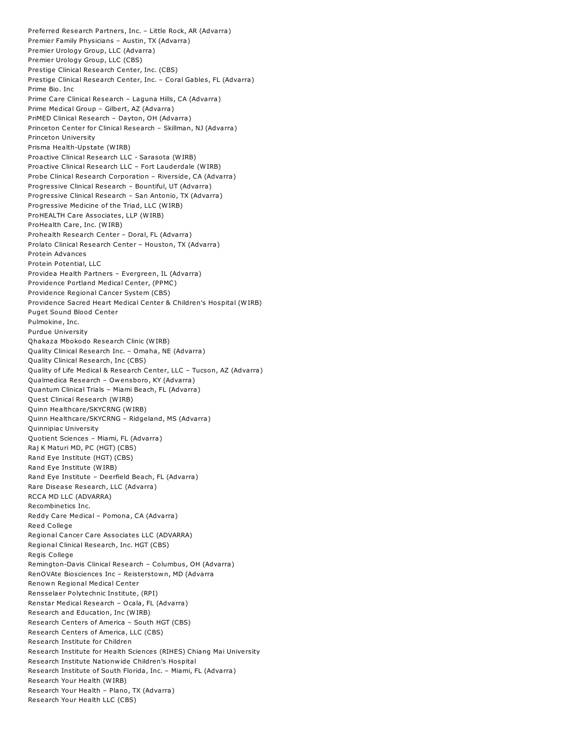Preferred Research Partners, Inc. – Little Rock, AR (Advarra) Premier Family Physicians – Austin, TX (Advarra) Premier Urology Group, LLC (Advarra) Premier Urology Group, LLC (CBS) Prestige Clinical Research Center, Inc. (CBS) Prestige Clinical Research Center, Inc. – Coral Gables, FL (Advarra) Prime Bio. Inc Prime Care Clinical Research – Laguna Hills, CA (Advarra) Prime Medical Group – Gilbert, AZ (Advarra) PriMED Clinical Research – Dayton, OH (Advarra) Princeton Center for Clinical Research – Skillman, NJ (Advarra) Princeton University Prisma Health-Upstate (WIRB) Proactive Clinical Research LLC - Sarasota (WIRB) Proactive Clinical Research LLC – Fort Lauderdale (WIRB) Probe Clinical Research Corporation – Riverside, CA (Advarra) Progressive Clinical Research – Bountiful, UT (Advarra) Progressive Clinical Research – San Antonio, TX (Advarra) Progressive Medicine of the Triad, LLC (WIRB) ProHEALTH Care Associates, LLP (WIRB) ProHealth Care, Inc. (WIRB) Prohealth Research Center – Doral, FL (Advarra) Prolato Clinical Research Center – Houston, TX (Advarra) Protein Advances Protein Potential, LLC Providea Health Partners – Evergreen, IL (Advarra) Providence Portland Medical Center, (PPMC) Providence Regional Cancer System (CBS) Providence Sacred Heart Medical Center & Children's Hospital (WIRB) Puget Sound Blood Center Pulmokine, Inc. Purdue University Qhakaza Mbokodo Research Clinic (WIRB) Quality Clinical Research Inc. – Omaha, NE (Advarra) Quality Clinical Research, Inc (CBS) Quality of Life Medical & Research Center, LLC – Tucson, AZ (Advarra) Qualmedica Research – Owensboro, KY (Advarra) Quantum Clinical Trials – Miami Beach, FL (Advarra) Quest Clinical Research (WIRB) Quinn Healthcare/SKYCRNG (WIRB) Quinn Healthcare/SKYCRNG – Ridgeland, MS (Advarra) Quinnipiac University Quotient Sciences – Miami, FL (Advarra) Raj K Maturi MD, PC (HGT) (CBS) Rand Eye Institute (HGT) (CBS) Rand Eye Institute (WIRB) Rand Eye Institute – Deerfield Beach, FL (Advarra) Rare Disease Research, LLC (Advarra) RCCA MD LLC (ADVARRA) Recombinetics Inc. Reddy Care Medical – Pomona, CA (Advarra) Reed College Regional Cancer Care Associates LLC (ADVARRA) Regional Clinical Research, Inc. HGT (CBS) Regis College Remington-Davis Clinical Research – Columbus, OH (Advarra) RenOVAte Biosciences Inc – Reisterstown, MD (Advarra Renown Regional Medical Center Rensselaer Polytechnic Institute, (RPI) Renstar Medical Research – Ocala, FL (Advarra) Research and Education, Inc (WIRB) Research Centers of America – South HGT (CBS) Research Centers of America, LLC (CBS) Research Institute for Children Research Institute for Health Sciences (RIHES) Chiang Mai University Research Institute Nationwide Children's Hospital Research Institute of South Florida, Inc. – Miami, FL (Advarra) Research Your Health (WIRB) Research Your Health – Plano, TX (Advarra) Research Your Health LLC (CBS)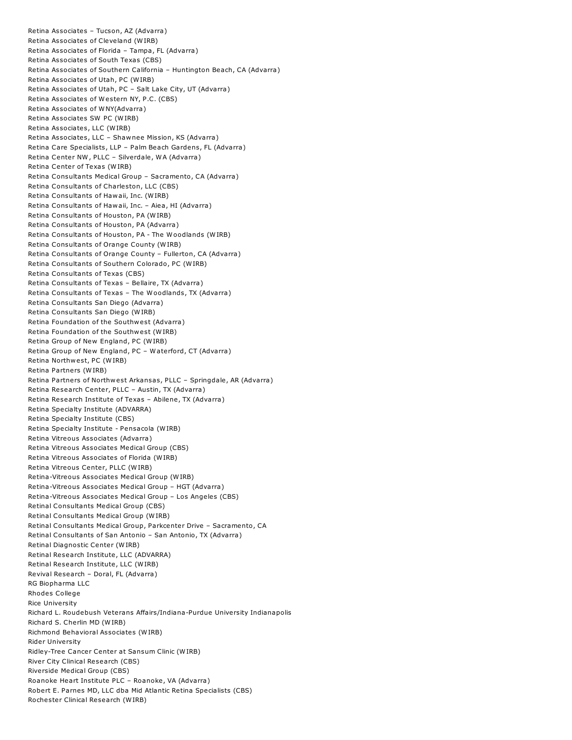Retina Associates – Tucson, AZ (Advarra) Retina Associates of Cleveland (WIRB) Retina Associates of Florida – Tampa, FL (Advarra) Retina Associates of South Texas (CBS) Retina Associates of Southern California – Huntington Beach, CA (Advarra) Retina Associates of Utah, PC (WIRB) Retina Associates of Utah, PC – Salt Lake City, UT (Advarra) Retina Associates of Western NY, P.C. (CBS) Retina Associates of WNY(Advarra) Retina Associates SW PC (WIRB) Retina Associates, LLC (WIRB) Retina Associates, LLC – Shawnee Mission, KS (Advarra) Retina Care Specialists, LLP – Palm Beach Gardens, FL (Advarra) Retina Center NW, PLLC – Silverdale, WA (Advarra) Retina Center of Texas (WIRB) Retina Consultants Medical Group – Sacramento, CA (Advarra) Retina Consultants of Charleston, LLC (CBS) Retina Consultants of Hawaii, Inc. (WIRB) Retina Consultants of Hawaii, Inc. – Aiea, HI (Advarra) Retina Consultants of Houston, PA (WIRB) Retina Consultants of Houston, PA (Advarra) Retina Consultants of Houston, PA - The Woodlands (WIRB) Retina Consultants of Orange County (WIRB) Retina Consultants of Orange County – Fullerton, CA (Advarra) Retina Consultants of Southern Colorado, PC (WIRB) Retina Consultants of Texas (CBS) Retina Consultants of Texas – Bellaire, TX (Advarra) Retina Consultants of Texas – The Woodlands, TX (Advarra) Retina Consultants San Diego (Advarra) Retina Consultants San Diego (WIRB) Retina Foundation of the Southwest (Advarra) Retina Foundation of the Southwest (WIRB) Retina Group of New England, PC (WIRB) Retina Group of New England, PC – Waterford, CT (Advarra) Retina Northwest, PC (WIRB) Retina Partners (WIRB) Retina Partners of Northwest Arkansas, PLLC – Springdale, AR (Advarra) Retina Research Center, PLLC – Austin, TX (Advarra) Retina Research Institute of Texas – Abilene, TX (Advarra) Retina Specialty Institute (ADVARRA) Retina Specialty Institute (CBS) Retina Specialty Institute - Pensacola (WIRB) Retina Vitreous Associates (Advarra) Retina Vitreous Associates Medical Group (CBS) Retina Vitreous Associates of Florida (WIRB) Retina Vitreous Center, PLLC (WIRB) Retina-Vitreous Associates Medical Group (WIRB) Retina-Vitreous Associates Medical Group – HGT (Advarra) Retina-Vitreous Associates Medical Group – Los Angeles (CBS) Retinal Consultants Medical Group (CBS) Retinal Consultants Medical Group (WIRB) Retinal Consultants Medical Group, Parkcenter Drive – Sacramento, CA Retinal Consultants of San Antonio – San Antonio, TX (Advarra) Retinal Diagnostic Center (WIRB) Retinal Research Institute, LLC (ADVARRA) Retinal Research Institute, LLC (WIRB) Revival Research – Doral, FL (Advarra) RG Biopharma LLC Rhodes College Rice University Richard L. Roudebush Veterans Affairs/Indiana-Purdue University Indianapolis Richard S. Cherlin MD (WIRB) Richmond Behavioral Associates (WIRB) Rider University Ridley-Tree Cancer Center at Sansum Clinic (WIRB) River City Clinical Research (CBS) Riverside Medical Group (CBS) Roanoke Heart Institute PLC – Roanoke, VA (Advarra) Robert E. Parnes MD, LLC dba Mid Atlantic Retina Specialists (CBS) Rochester Clinical Research (WIRB)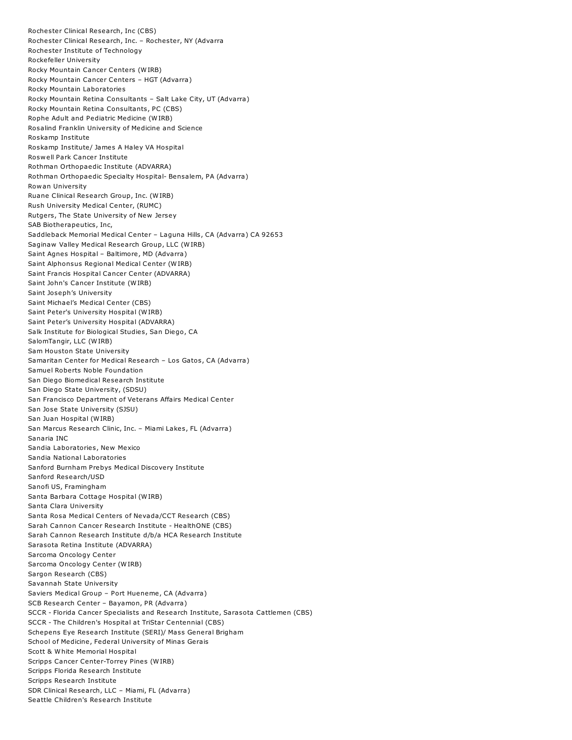Rochester Clinical Research, Inc (CBS) Rochester Clinical Research, Inc. – Rochester, NY (Advarra Rochester Institute of Technology Rockefeller University Rocky Mountain Cancer Centers (WIRB) Rocky Mountain Cancer Centers – HGT (Advarra) Rocky Mountain Laboratories Rocky Mountain Retina Consultants – Salt Lake City, UT (Advarra) Rocky Mountain Retina Consultants, PC (CBS) Rophe Adult and Pediatric Medicine (WIRB) Rosalind Franklin University of Medicine and Science Roskamp Institute Roskamp Institute/ James A Haley VA Hospital Roswell Park Cancer Institute Rothman Orthopaedic Institute (ADVARRA) Rothman Orthopaedic Specialty Hospital- Bensalem, PA (Advarra) Rowan University Ruane Clinical Research Group, Inc. (WIRB) Rush University Medical Center, (RUMC) Rutgers, The State University of New Jersey SAB Biotherapeutics, Inc, Saddleback Memorial Medical Center – Laguna Hills, CA (Advarra) CA 92653 Saginaw Valley Medical Research Group, LLC (WIRB) Saint Agnes Hospital – Baltimore, MD (Advarra) Saint Alphonsus Regional Medical Center (WIRB) Saint Francis Hospital Cancer Center (ADVARRA) Saint John's Cancer Institute (WIRB) Saint Joseph's University Saint Michael's Medical Center (CBS) Saint Peter's University Hospital (WIRB) Saint Peter's University Hospital (ADVARRA) Salk Institute for Biological Studies, San Diego, CA SalomTangir, LLC (WIRB) Sam Houston State University Samaritan Center for Medical Research – Los Gatos, CA (Advarra) Samuel Roberts Noble Foundation San Diego Biomedical Research Institute San Diego State University, (SDSU) San Francisco Department of Veterans Affairs Medical Center San Jose State University (SJSU) San Juan Hospital (WIRB) San Marcus Research Clinic, Inc. – Miami Lakes, FL (Advarra) Sanaria INC Sandia Laboratories, New Mexico Sandia National Laboratories Sanford Burnham Prebys Medical Discovery Institute Sanford Research/USD Sanofi US, Framingham Santa Barbara Cottage Hospital (WIRB) Santa Clara University Santa Rosa Medical Centers of Nevada/CCT Research (CBS) Sarah Cannon Cancer Research Institute - HealthONE (CBS) Sarah Cannon Research Institute d/b/a HCA Research Institute Sarasota Retina Institute (ADVARRA) Sarcoma Oncology Center Sarcoma Oncology Center (WIRB) Sargon Research (CBS) Savannah State University Saviers Medical Group – Port Hueneme, CA (Advarra) SCB Research Center – Bayamon, PR (Advarra) SCCR - Florida Cancer Specialists and Research Institute, Sarasota Cattlemen (CBS) SCCR - The Children's Hospital at TriStar Centennial (CBS) Schepens Eye Research Institute (SERI)/ Mass General Brigham School of Medicine, Federal University of Minas Gerais Scott & White Memorial Hospital Scripps Cancer Center-Torrey Pines (WIRB) Scripps Florida Research Institute Scripps Research Institute SDR Clinical Research, LLC – Miami, FL (Advarra) Seattle Children's Research Institute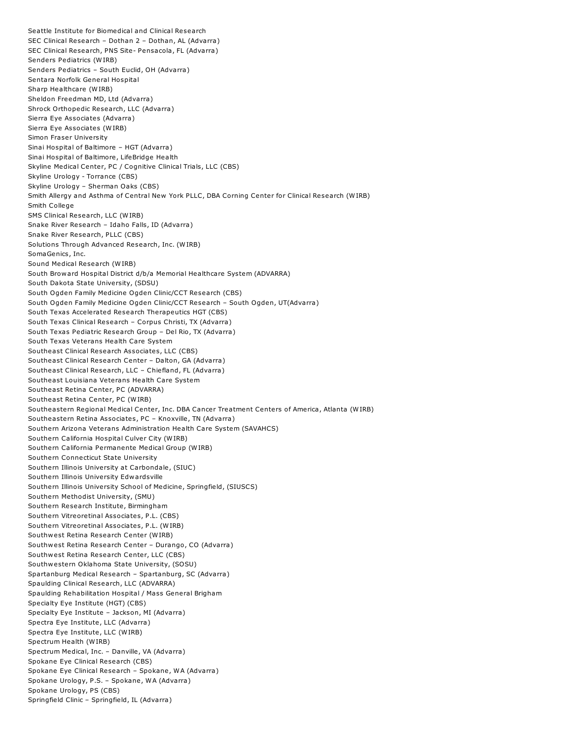Seattle Institute for Biomedical and Clinical Research SEC Clinical Research – Dothan 2 – Dothan, AL (Advarra) SEC Clinical Research, PNS Site- Pensacola, FL (Advarra) Senders Pediatrics (WIRB) Senders Pediatrics – South Euclid, OH (Advarra) Sentara Norfolk General Hospital Sharp Healthcare (WIRB) Sheldon Freedman MD, Ltd (Advarra) Shrock Orthopedic Research, LLC (Advarra) Sierra Eye Associates (Advarra) Sierra Eye Associates (WIRB) Simon Fraser University Sinai Hospital of Baltimore – HGT (Advarra) Sinai Hospital of Baltimore, LifeBridge Health Skyline Medical Center, PC / Cognitive Clinical Trials, LLC (CBS) Skyline Urology - Torrance (CBS) Skyline Urology – Sherman Oaks (CBS) Smith Allergy and Asthma of Central New York PLLC, DBA Corning Center for Clinical Research (WIRB) Smith College SMS Clinical Research, LLC (WIRB) Snake River Research – Idaho Falls, ID (Advarra) Snake River Research, PLLC (CBS) Solutions Through Advanced Research, Inc. (WIRB) SomaGenics, Inc. Sound Medical Research (WIRB) South Broward Hospital District d/b/a Memorial Healthcare System (ADVARRA) South Dakota State University, (SDSU) South Ogden Family Medicine Ogden Clinic/CCT Research (CBS) South Ogden Family Medicine Ogden Clinic/CCT Research – South Ogden, UT(Advarra) South Texas Accelerated Research Therapeutics HGT (CBS) South Texas Clinical Research – Corpus Christi, TX (Advarra) South Texas Pediatric Research Group – Del Rio, TX (Advarra) South Texas Veterans Health Care System Southeast Clinical Research Associates, LLC (CBS) Southeast Clinical Research Center – Dalton, GA (Advarra) Southeast Clinical Research, LLC – Chiefland, FL (Advarra) Southeast Louisiana Veterans Health Care System Southeast Retina Center, PC (ADVARRA) Southeast Retina Center, PC (WIRB) Southeastern Regional Medical Center, Inc. DBA Cancer Treatment Centers of America, Atlanta (WIRB) Southeastern Retina Associates, PC – Knoxville, TN (Advarra) Southern Arizona Veterans Administration Health Care System (SAVAHCS) Southern California Hospital Culver City (WIRB) Southern California Permanente Medical Group (WIRB) Southern Connecticut State University Southern Illinois University at Carbondale, (SIUC) Southern Illinois University Edwardsville Southern Illinois University School of Medicine, Springfield, (SIUSCS) Southern Methodist University, (SMU) Southern Research Institute, Birmingham Southern Vitreoretinal Associates, P.L. (CBS) Southern Vitreoretinal Associates, P.L. (WIRB) Southwest Retina Research Center (WIRB) Southwest Retina Research Center – Durango, CO (Advarra) Southwest Retina Research Center, LLC (CBS) Southwestern Oklahoma State University, (SOSU) Spartanburg Medical Research – Spartanburg, SC (Advarra) Spaulding Clinical Research, LLC (ADVARRA) Spaulding Rehabilitation Hospital / Mass General Brigham Specialty Eye Institute (HGT) (CBS) Specialty Eye Institute – Jackson, MI (Advarra) Spectra Eye Institute, LLC (Advarra) Spectra Eye Institute, LLC (WIRB) Spectrum Health (WIRB) Spectrum Medical, Inc. – Danville, VA (Advarra) Spokane Eye Clinical Research (CBS) Spokane Eye Clinical Research – Spokane, WA (Advarra) Spokane Urology, P.S. – Spokane, WA (Advarra) Spokane Urology, PS (CBS) Springfield Clinic – Springfield, IL (Advarra)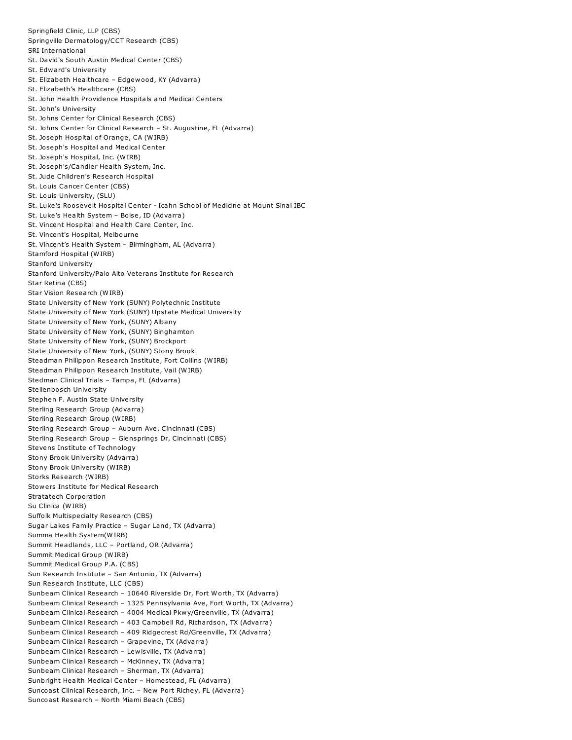Springfield Clinic, LLP (CBS) Springville Dermatology/CCT Research (CBS) SRI International St. David's South Austin Medical Center (CBS) St. Edward's University St. Elizabeth Healthcare – Edgewood, KY (Advarra) St. Elizabeth's Healthcare (CBS) St. John Health Providence Hospitals and Medical Centers St. John's University St. Johns Center for Clinical Research (CBS) St. Johns Center for Clinical Research – St. Augustine, FL (Advarra) St. Joseph Hospital of Orange, CA (WIRB) St. Joseph's Hospital and Medical Center St. Joseph's Hospital, Inc. (WIRB) St. Joseph's/Candler Health System, Inc. St. Jude Children's Research Hospital St. Louis Cancer Center (CBS) St. Louis University, (SLU) St. Luke's Roosevelt Hospital Center - Icahn School of Medicine at Mount Sinai IBC St. Luke's Health System – Boise, ID (Advarra) St. Vincent Hospital and Health Care Center, Inc. St. Vincent's Hospital, Melbourne St. Vincent's Health System – Birmingham, AL (Advarra) Stamford Hospital (WIRB) Stanford University Stanford University/Palo Alto Veterans Institute for Research Star Retina (CBS) Star Vision Research (WIRB) State University of New York (SUNY) Polytechnic Institute State University of New York (SUNY) Upstate Medical University State University of New York, (SUNY) Albany State University of New York, (SUNY) Binghamton State University of New York, (SUNY) Brockport State University of New York, (SUNY) Stony Brook Steadman Philippon Research Institute, Fort Collins (WIRB) Steadman Philippon Research Institute, Vail (WIRB) Stedman Clinical Trials – Tampa, FL (Advarra) Stellenbosch University Stephen F. Austin State University Sterling Research Group (Advarra) Sterling Research Group (WIRB) Sterling Research Group – Auburn Ave, Cincinnati (CBS) Sterling Research Group – Glensprings Dr, Cincinnati (CBS) Stevens Institute of Technology Stony Brook University (Advarra) Stony Brook University (WIRB) Storks Research (WIRB) Stowers Institute for Medical Research Stratatech Corporation Su Clinica (WIRB) Suffolk Multispecialty Research (CBS) Sugar Lakes Family Practice – Sugar Land, TX (Advarra) Summa Health System(WIRB) Summit Headlands, LLC – Portland, OR (Advarra) Summit Medical Group (WIRB) Summit Medical Group P.A. (CBS) Sun Research Institute – San Antonio, TX (Advarra) Sun Research Institute, LLC (CBS) Sunbeam Clinical Research – 10640 Riverside Dr, Fort Worth, TX (Advarra) Sunbeam Clinical Research – 1325 Pennsylvania Ave, Fort Worth, TX (Advarra) Sunbeam Clinical Research – 4004 Medical Pkwy/Greenville, TX (Advarra) Sunbeam Clinical Research – 403 Campbell Rd, Richardson, TX (Advarra) Sunbeam Clinical Research – 409 Ridgecrest Rd/Greenville, TX (Advarra) Sunbeam Clinical Research – Grapevine, TX (Advarra) Sunbeam Clinical Research – Lewisville, TX (Advarra) Sunbeam Clinical Research – McKinney, TX (Advarra) Sunbeam Clinical Research – Sherman, TX (Advarra) Sunbright Health Medical Center – Homestead, FL (Advarra) Suncoast Clinical Research, Inc. – New Port Richey, FL (Advarra) Suncoast Research – North Miami Beach (CBS)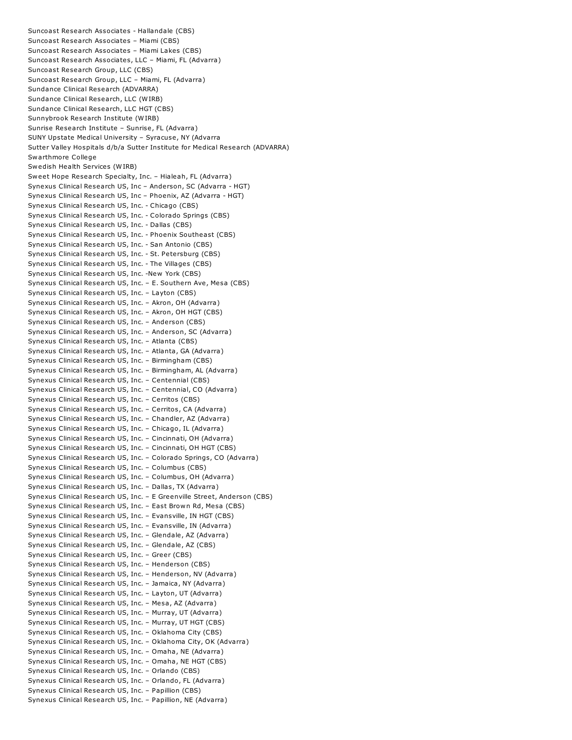Suncoast Research Associates - Hallandale (CBS) Suncoast Research Associates – Miami (CBS) Suncoast Research Associates – Miami Lakes (CBS) Suncoast Research Associates, LLC – Miami, FL (Advarra) Suncoast Research Group, LLC (CBS) Suncoast Research Group, LLC – Miami, FL (Advarra) Sundance Clinical Research (ADVARRA) Sundance Clinical Research, LLC (WIRB) Sundance Clinical Research, LLC HGT (CBS) Sunnybrook Research Institute (WIRB) Sunrise Research Institute – Sunrise, FL (Advarra) SUNY Upstate Medical University – Syracuse, NY (Advarra Sutter Valley Hospitals d/b/a Sutter Institute for Medical Research (ADVARRA) Swarthmore College Swedish Health Services (WIRB) Sweet Hope Research Specialty, Inc. – Hialeah, FL (Advarra) Synexus Clinical Research US, Inc – Anderson, SC (Advarra - HGT) Synexus Clinical Research US, Inc – Phoenix, AZ (Advarra - HGT) Synexus Clinical Research US, Inc. - Chicago (CBS) Synexus Clinical Research US, Inc. - Colorado Springs (CBS) Synexus Clinical Research US, Inc. - Dallas (CBS) Synexus Clinical Research US, Inc. - Phoenix Southeast (CBS) Synexus Clinical Research US, Inc. - San Antonio (CBS) Synexus Clinical Research US, Inc. - St. Petersburg (CBS) Synexus Clinical Research US, Inc. - The Villages (CBS) Synexus Clinical Research US, Inc. -New York (CBS) Synexus Clinical Research US, Inc. – E. Southern Ave, Mesa (CBS) Synexus Clinical Research US, Inc. – Layton (CBS) Synexus Clinical Research US, Inc. – Akron, OH (Advarra) Synexus Clinical Research US, Inc. – Akron, OH HGT (CBS) Synexus Clinical Research US, Inc. – Anderson (CBS) Synexus Clinical Research US, Inc. – Anderson, SC (Advarra) Synexus Clinical Research US, Inc. – Atlanta (CBS) Synexus Clinical Research US, Inc. – Atlanta, GA (Advarra) Synexus Clinical Research US, Inc. – Birmingham (CBS) Synexus Clinical Research US, Inc. – Birmingham, AL (Advarra) Synexus Clinical Research US, Inc. – Centennial (CBS) Synexus Clinical Research US, Inc. – Centennial, CO (Advarra) Synexus Clinical Research US, Inc. – Cerritos (CBS) Synexus Clinical Research US, Inc. – Cerritos, CA (Advarra) Synexus Clinical Research US, Inc. – Chandler, AZ (Advarra) Synexus Clinical Research US, Inc. – Chicago, IL (Advarra) Synexus Clinical Research US, Inc. – Cincinnati, OH (Advarra) Synexus Clinical Research US, Inc. – Cincinnati, OH HGT (CBS) Synexus Clinical Research US, Inc. – Colorado Springs, CO (Advarra) Synexus Clinical Research US, Inc. – Columbus (CBS) Synexus Clinical Research US, Inc. – Columbus, OH (Advarra) Synexus Clinical Research US, Inc. – Dallas, TX (Advarra) Synexus Clinical Research US, Inc. – E Greenville Street, Anderson (CBS) Synexus Clinical Research US, Inc. – East Brown Rd, Mesa (CBS) Synexus Clinical Research US, Inc. – Evansville, IN HGT (CBS) Synexus Clinical Research US, Inc. – Evansville, IN (Advarra) Synexus Clinical Research US, Inc. – Glendale, AZ (Advarra) Synexus Clinical Research US, Inc. – Glendale, AZ (CBS) Synexus Clinical Research US, Inc. – Greer (CBS) Synexus Clinical Research US, Inc. – Henderson (CBS) Synexus Clinical Research US, Inc. – Henderson, NV (Advarra) Synexus Clinical Research US, Inc. – Jamaica, NY (Advarra) Synexus Clinical Research US, Inc. – Layton, UT (Advarra) Synexus Clinical Research US, Inc. – Mesa, AZ (Advarra) Synexus Clinical Research US, Inc. – Murray, UT (Advarra) Synexus Clinical Research US, Inc. – Murray, UT HGT (CBS) Synexus Clinical Research US, Inc. – Oklahoma City (CBS) Synexus Clinical Research US, Inc. – Oklahoma City, OK (Advarra) Synexus Clinical Research US, Inc. – Omaha, NE (Advarra) Synexus Clinical Research US, Inc. – Omaha, NE HGT (CBS) Synexus Clinical Research US, Inc. – Orlando (CBS) Synexus Clinical Research US, Inc. – Orlando, FL (Advarra) Synexus Clinical Research US, Inc. – Papillion (CBS) Synexus Clinical Research US, Inc. – Papillion, NE (Advarra)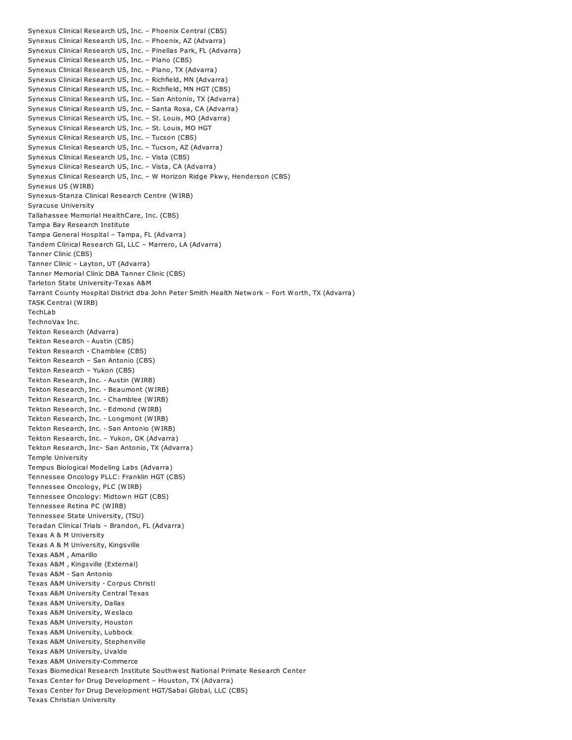Synexus Clinical Research US, Inc. – Phoenix Central (CBS) Synexus Clinical Research US, Inc. – Phoenix, AZ (Advarra) Synexus Clinical Research US, Inc. – Pinellas Park, FL (Advarra) Synexus Clinical Research US, Inc. – Plano (CBS) Synexus Clinical Research US, Inc. – Plano, TX (Advarra) Synexus Clinical Research US, Inc. – Richfield, MN (Advarra) Synexus Clinical Research US, Inc. – Richfield, MN HGT (CBS) Synexus Clinical Research US, Inc. – San Antonio, TX (Advarra) Synexus Clinical Research US, Inc. – Santa Rosa, CA (Advarra) Synexus Clinical Research US, Inc. – St. Louis, MO (Advarra) Synexus Clinical Research US, Inc. – St. Louis, MO HGT Synexus Clinical Research US, Inc. – Tucson (CBS) Synexus Clinical Research US, Inc. – Tucson, AZ (Advarra) Synexus Clinical Research US, Inc. – Vista (CBS) Synexus Clinical Research US, Inc. – Vista, CA (Advarra) Synexus Clinical Research US, Inc. – W Horizon Ridge Pkwy, Henderson (CBS) Synexus US (WIRB) Synexus-Stanza Clinical Research Centre (WIRB) Syracuse University Tallahassee Memorial HealthCare, Inc. (CBS) Tampa Bay Research Institute Tampa General Hospital – Tampa, FL (Advarra) Tandem Clinical Research GI, LLC – Marrero, LA (Advarra) Tanner Clinic (CBS) Tanner Clinic – Layton, UT (Advarra) Tanner Memorial Clinic DBA Tanner Clinic (CBS) Tarleton State University-Texas A&M Tarrant County Hospital District dba John Peter Smith Health Network – Fort Worth, TX (Advarra) TASK Central (WIRB) TechLab TechnoVax Inc. Tekton Research (Advarra) Tekton Research - Austin (CBS) Tekton Research - Chamblee (CBS) Tekton Research – San Antonio (CBS) Tekton Research – Yukon (CBS) Tekton Research, Inc. - Austin (WIRB) Tekton Research, Inc. - Beaumont (WIRB) Tekton Research, Inc. - Chamblee (WIRB) Tekton Research, Inc. - Edmond (WIRB) Tekton Research, Inc. - Longmont (WIRB) Tekton Research, Inc. - San Antonio (WIRB) Tekton Research, Inc. – Yukon, OK (Advarra) Tekton Research, Inc– San Antonio, TX (Advarra) Temple University Tempus Biological Modeling Labs (Advarra) Tennessee Oncology PLLC: Franklin HGT (CBS) Tennessee Oncology, PLC (WIRB) Tennessee Oncology: Midtown HGT (CBS) Tennessee Retina PC (WIRB) Tennessee State University, (TSU) Teradan Clinical Trials – Brandon, FL (Advarra) Texas A & M University Texas A & M University, Kingsville Texas A&M , Amarillo Texas A&M , Kingsville (External) Texas A&M - San Antonio Texas A&M University - Corpus Christi Texas A&M University Central Texas Texas A&M University, Dallas Texas A&M University, Weslaco Texas A&M University, Houston Texas A&M University, Lubbock Texas A&M University, Stephenville Texas A&M University, Uvalde Texas A&M University-Commerce Texas Biomedical Research Institute Southwest National Primate Research Center Texas Center for Drug Development – Houston, TX (Advarra) Texas Center for Drug Development HGT/Sabai Global, LLC (CBS) Texas Christian University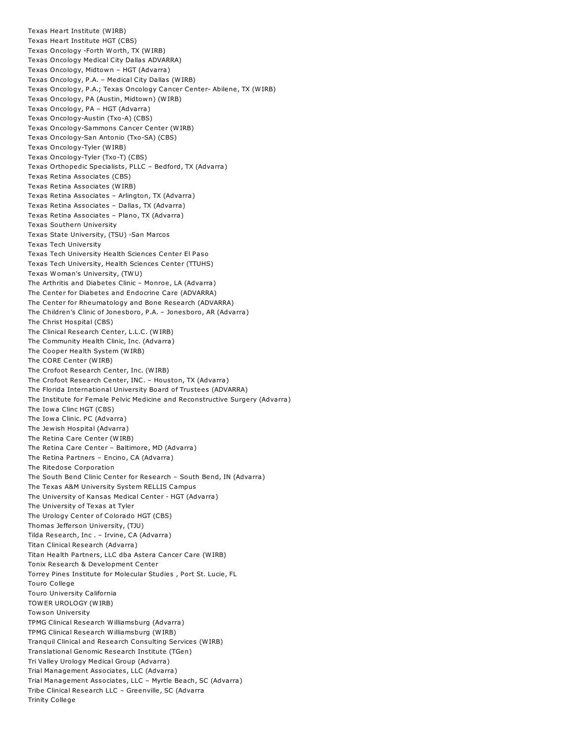Texas Heart Institute (WIRB) Texas Heart Institute HGT (CBS) Texas Oncology -Forth Worth, TX (WIRB) Texas Oncology Medical City Dallas ADVARRA) Texas Oncology, Midtown – HGT (Advarra) Texas Oncology, P.A. – Medical City Dallas (WIRB) Texas Oncology, P.A.; Texas Oncology Cancer Center- Abilene, TX (WIRB) Texas Oncology, PA (Austin, Midtown) (WIRB) Texas Oncology, PA – HGT (Advarra) Texas Oncology-Austin (Txo-A) (CBS) Texas Oncology-Sammons Cancer Center (WIRB) Texas Oncology-San Antonio (Txo-SA) (CBS) Texas Oncology-Tyler (WIRB) Texas Oncology-Tyler (Txo-T) (CBS) Texas Orthopedic Specialists, PLLC – Bedford, TX (Advarra) Texas Retina Associates (CBS) Texas Retina Associates (WIRB) Texas Retina Associates – Arlington, TX (Advarra) Texas Retina Associates – Dallas, TX (Advarra) Texas Retina Associates – Plano, TX (Advarra) Texas Southern University Texas State University, (TSU) -San Marcos Texas Tech University Texas Tech University Health Sciences Center El Paso Texas Tech University, Health Sciences Center (TTUHS) Texas Woman's University, (TWU) The Arthritis and Diabetes Clinic – Monroe, LA (Advarra) The Center for Diabetes and Endocrine Care (ADVARRA) The Center for Rheumatology and Bone Research (ADVARRA) The Children's Clinic of Jonesboro, P.A. – Jonesboro, AR (Advarra) The Christ Hospital (CBS) The Clinical Research Center, L.L.C. (WIRB) The Community Health Clinic, Inc. (Advarra) The Cooper Health System (WIRB) The CORE Center (WIRB) The Crofoot Research Center, Inc. (WIRB) The Crofoot Research Center, INC. – Houston, TX (Advarra) The Florida International University Board of Trustees (ADVARRA) The Institute for Female Pelvic Medicine and Reconstructive Surgery (Advarra) The Iowa Clinc HGT (CBS) The Iowa Clinic. PC (Advarra) The Jewish Hospital (Advarra) The Retina Care Center (WIRB) The Retina Care Center – Baltimore, MD (Advarra) The Retina Partners – Encino, CA (Advarra) The Ritedose Corporation The South Bend Clinic Center for Research – South Bend, IN (Advarra) The Texas A&M University System RELLIS Campus The University of Kansas Medical Center - HGT (Advarra) The University of Texas at Tyler The Urology Center of Colorado HGT (CBS) Thomas Jefferson University, (TJU) Tilda Research, Inc . – Irvine, CA (Advarra) Titan Clinical Research (Advarra) Titan Health Partners, LLC dba Astera Cancer Care (WIRB) Tonix Research & Development Center Torrey Pines Institute for Molecular Studies , Port St. Lucie, FL Touro College Touro University California TOWER UROLOGY (WIRB) Towson University TPMG Clinical Research Williamsburg (Advarra) TPMG Clinical Research Williamsburg (WIRB) Tranquil Clinical and Research Consulting Services (WIRB) Translational Genomic Research Institute (TGen) Tri Valley Urology Medical Group (Advarra) Trial Management Associates, LLC (Advarra) Trial Management Associates, LLC – Myrtle Beach, SC (Advarra) Tribe Clinical Research LLC – Greenville, SC (Advarra Trinity College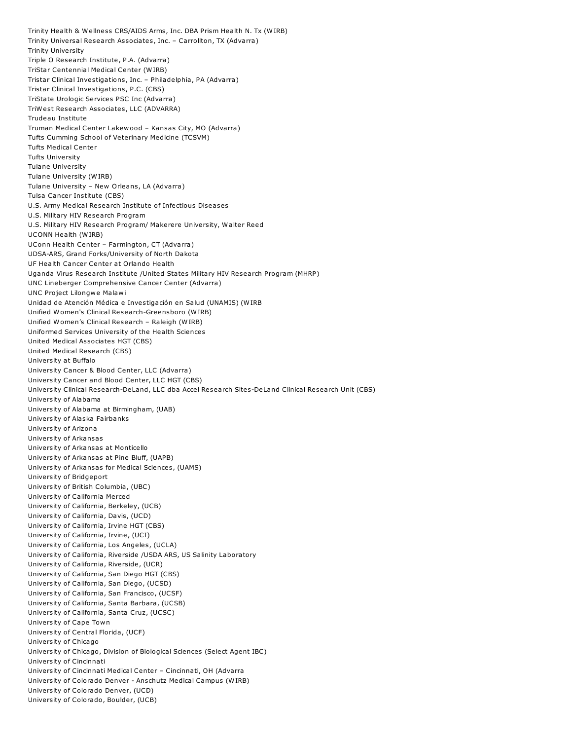Trinity Health & Wellness CRS/AIDS Arms, Inc. DBA Prism Health N. Tx (WIRB) Trinity Universal Research Associates, Inc. – Carrollton, TX (Advarra) Trinity University Triple O Research Institute, P.A. (Advarra) TriStar Centennial Medical Center (WIRB) Tristar Clinical Investigations, Inc. – Philadelphia, PA (Advarra) Tristar Clinical Investigations, P.C. (CBS) TriState Urologic Services PSC Inc (Advarra) TriWest Research Associates, LLC (ADVARRA) Trudeau Institute Truman Medical Center Lakewood – Kansas City, MO (Advarra) Tufts Cumming School of Veterinary Medicine (TCSVM) Tufts Medical Center Tufts University Tulane University Tulane University (WIRB) Tulane University – New Orleans, LA (Advarra) Tulsa Cancer Institute (CBS) U.S. Army Medical Research Institute of Infectious Diseases U.S. Military HIV Research Program U.S. Military HIV Research Program/ Makerere University, Walter Reed UCONN Health (WIRB) UConn Health Center – Farmington, CT (Advarra) UDSA-ARS, Grand Forks/University of North Dakota UF Health Cancer Center at Orlando Health Uganda Virus Research Institute /United States Military HIV Research Program (MHRP) UNC Lineberger Comprehensive Cancer Center (Advarra) UNC Project Lilongwe Malawi Unidad de Atención Médica e Investigación en Salud (UNAMIS) (WIRB Unified Women's Clinical Research-Greensboro (WIRB) Unified Women's Clinical Research – Raleigh (WIRB) Uniformed Services University of the Health Sciences United Medical Associates HGT (CBS) United Medical Research (CBS) University at Buffalo University Cancer & Blood Center, LLC (Advarra) University Cancer and Blood Center, LLC HGT (CBS) University Clinical Research-DeLand, LLC dba Accel Research Sites-DeLand Clinical Research Unit (CBS) University of Alabama University of Alabama at Birmingham, (UAB) University of Alaska Fairbanks University of Arizona University of Arkansas University of Arkansas at Monticello University of Arkansas at Pine Bluff, (UAPB) University of Arkansas for Medical Sciences, (UAMS) University of Bridgeport University of British Columbia, (UBC) University of California Merced University of California, Berkeley, (UCB) University of California, Davis, (UCD) University of California, Irvine HGT (CBS) University of California, Irvine, (UCI) University of California, Los Angeles, (UCLA) University of California, Riverside /USDA ARS, US Salinity Laboratory University of California, Riverside, (UCR) University of California, San Diego HGT (CBS) University of California, San Diego, (UCSD) University of California, San Francisco, (UCSF) University of California, Santa Barbara, (UCSB) University of California, Santa Cruz, (UCSC) University of Cape Town University of Central Florida, (UCF) University of Chicago University of Chicago, Division of Biological Sciences (Select Agent IBC) University of Cincinnati University of Cincinnati Medical Center – Cincinnati, OH (Advarra University of Colorado Denver - Anschutz Medical Campus (WIRB) University of Colorado Denver, (UCD) University of Colorado, Boulder, (UCB)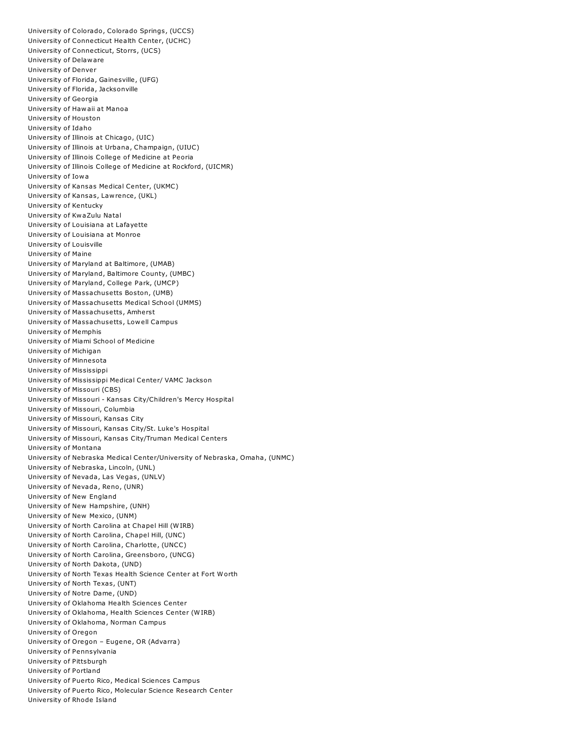University of Colorado, Colorado Springs, (UCCS) University of Connecticut Health Center, (UCHC) University of Connecticut, Storrs, (UCS) University of Delaware University of Denver University of Florida, Gainesville, (UFG) University of Florida, Jacksonville University of Georgia University of Hawaii at Manoa University of Houston University of Idaho University of Illinois at Chicago, (UIC) University of Illinois at Urbana, Champaign, (UIUC) University of Illinois College of Medicine at Peoria University of Illinois College of Medicine at Rockford, (UICMR) University of Iowa University of Kansas Medical Center, (UKMC) University of Kansas, Lawrence, (UKL) University of Kentucky University of KwaZulu Natal University of Louisiana at Lafayette University of Louisiana at Monroe University of Louisville University of Maine University of Maryland at Baltimore, (UMAB) University of Maryland, Baltimore County, (UMBC) University of Maryland, College Park, (UMCP) University of Massachusetts Boston, (UMB) University of Massachusetts Medical School (UMMS) University of Massachusetts, Amherst University of Massachusetts, Lowell Campus University of Memphis University of Miami School of Medicine University of Michigan University of Minnesota University of Mississippi University of Mississippi Medical Center/ VAMC Jackson University of Missouri (CBS) University of Missouri - Kansas City/Children's Mercy Hospital University of Missouri, Columbia University of Missouri, Kansas City University of Missouri, Kansas City/St. Luke's Hospital University of Missouri, Kansas City/Truman Medical Centers University of Montana University of Nebraska Medical Center/University of Nebraska, Omaha, (UNMC) University of Nebraska, Lincoln, (UNL) University of Nevada, Las Vegas, (UNLV) University of Nevada, Reno, (UNR) University of New England University of New Hampshire, (UNH) University of New Mexico, (UNM) University of North Carolina at Chapel Hill (WIRB) University of North Carolina, Chapel Hill, (UNC) University of North Carolina, Charlotte, (UNCC) University of North Carolina, Greensboro, (UNCG) University of North Dakota, (UND) University of North Texas Health Science Center at Fort Worth University of North Texas, (UNT) University of Notre Dame, (UND) University of Oklahoma Health Sciences Center University of Oklahoma, Health Sciences Center (WIRB) University of Oklahoma, Norman Campus University of Oregon University of Oregon – Eugene, OR (Advarra) University of Pennsylvania University of Pittsburgh University of Portland University of Puerto Rico, Medical Sciences Campus University of Puerto Rico, Molecular Science Research Center University of Rhode Island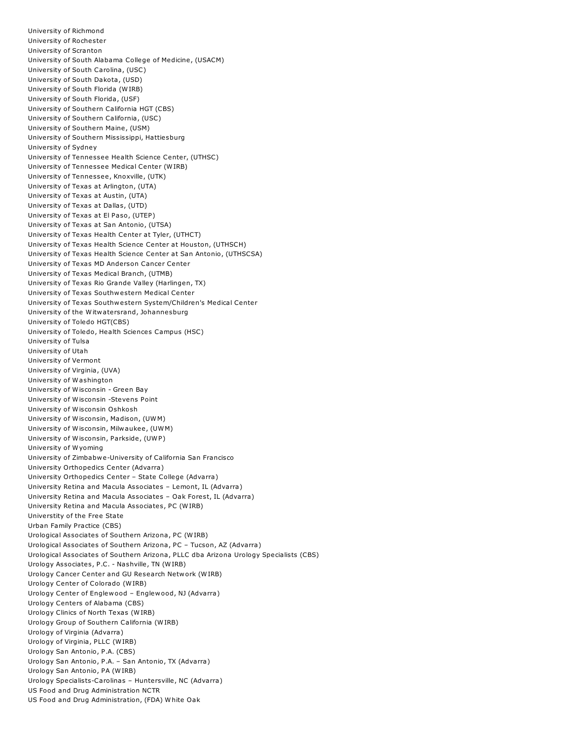University of Richmond University of Rochester University of Scranton University of South Alabama College of Medicine, (USACM) University of South Carolina, (USC) University of South Dakota, (USD) University of South Florida (WIRB) University of South Florida, (USF) University of Southern California HGT (CBS) University of Southern California, (USC) University of Southern Maine, (USM) University of Southern Mississippi, Hattiesburg University of Sydney University of Tennessee Health Science Center, (UTHSC) University of Tennessee Medical Center (WIRB) University of Tennessee, Knoxville, (UTK) University of Texas at Arlington, (UTA) University of Texas at Austin, (UTA) University of Texas at Dallas, (UTD) University of Texas at El Paso, (UTEP) University of Texas at San Antonio, (UTSA) University of Texas Health Center at Tyler, (UTHCT) University of Texas Health Science Center at Houston, (UTHSCH) University of Texas Health Science Center at San Antonio, (UTHSCSA) University of Texas MD Anderson Cancer Center University of Texas Medical Branch, (UTMB) University of Texas Rio Grande Valley (Harlingen, TX) University of Texas Southwestern Medical Center University of Texas Southwestern System/Children's Medical Center University of the Witwatersrand, Johannesburg University of Toledo HGT(CBS) University of Toledo, Health Sciences Campus (HSC) University of Tulsa University of Utah University of Vermont University of Virginia, (UVA) University of Washington University of Wisconsin - Green Bay University of Wisconsin -Stevens Point University of Wisconsin Oshkosh University of Wisconsin, Madison, (UWM) University of Wisconsin, Milwaukee, (UWM) University of Wisconsin, Parkside, (UWP) University of Wyoming University of Zimbabwe-University of California San Francisco University Orthopedics Center (Advarra) University Orthopedics Center – State College (Advarra) University Retina and Macula Associates – Lemont, IL (Advarra) University Retina and Macula Associates – Oak Forest, IL (Advarra) University Retina and Macula Associates, PC (WIRB) Universtity of the Free State Urban Family Practice (CBS) Urological Associates of Southern Arizona, PC (WIRB) Urological Associates of Southern Arizona, PC – Tucson, AZ (Advarra) Urological Associates of Southern Arizona, PLLC dba Arizona Urology Specialists (CBS) Urology Associates, P.C. - Nashville, TN (WIRB) Urology Cancer Center and GU Research Network (WIRB) Urology Center of Colorado (WIRB) Urology Center of Englewood – Englewood, NJ (Advarra) Urology Centers of Alabama (CBS) Urology Clinics of North Texas (WIRB) Urology Group of Southern California (WIRB) Urology of Virginia (Advarra) Urology of Virginia, PLLC (WIRB) Urology San Antonio, P.A. (CBS) Urology San Antonio, P.A. – San Antonio, TX (Advarra) Urology San Antonio, PA (WIRB) Urology Specialists-Carolinas – Huntersville, NC (Advarra) US Food and Drug Administration NCTR US Food and Drug Administration, (FDA) White Oak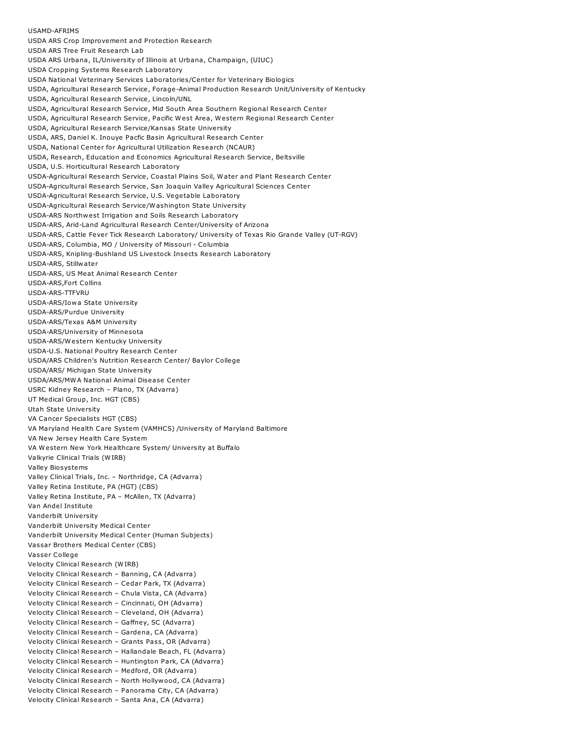USDA ARS Crop Improvement and Protection Research USDA ARS Tree Fruit Research Lab USDA ARS Urbana, IL/University of Illinois at Urbana, Champaign, (UIUC) USDA Cropping Systems Research Laboratory USDA National Veterinary Services Laboratories/Center for Veterinary Biologics USDA, Agricultural Research Service, Forage-Animal Production Research Unit/University of Kentucky USDA, Agricultural Research Service, Lincoln/UNL USDA, Agricultural Research Service, Mid South Area Southern Regional Research Center USDA, Agricultural Research Service, Pacific West Area, Western Regional Research Center USDA, Agricultural Research Service/Kansas State University USDA, ARS, Daniel K. Inouye Pacfic Basin Agricultural Research Center USDA, National Center for Agricultural Utilization Research (NCAUR) USDA, Research, Education and Economics Agricultural Research Service, Beltsville USDA, U.S. Horticultural Research Laboratory USDA-Agricultural Research Service, Coastal Plains Soil, Water and Plant Research Center USDA-Agricultural Research Service, San Joaquin Valley Agricultural Sciences Center USDA-Agricultural Research Service, U.S. Vegetable Laboratory USDA-Agricultural Research Service/Washington State University USDA-ARS Northwest Irrigation and Soils Research Laboratory USDA-ARS, Arid-Land Agricultural Research Center/University of Arizona USDA-ARS, Cattle Fever Tick Research Laboratory/ University of Texas Rio Grande Valley (UT-RGV) USDA-ARS, Columbia, MO / University of Missouri - Columbia USDA-ARS, Knipling-Bushland US Livestock Insects Research Laboratory USDA-ARS, Stillwater USDA-ARS, US Meat Animal Research Center USDA-ARS,Fort Collins USDA-ARS-TTFVRU USDA-ARS/Iowa State University USDA-ARS/Purdue University USDA-ARS/Texas A&M University USDA-ARS/University of Minnesota USDA-ARS/Western Kentucky University USDA-U.S. National Poultry Research Center USDA/ARS Children's Nutrition Research Center/ Baylor College USDA/ARS/ Michigan State University USDA/ARS/MWA National Animal Disease Center USRC Kidney Research – Plano, TX (Advarra) UT Medical Group, Inc. HGT (CBS) Utah State University VA Cancer Specialists HGT (CBS) VA Maryland Health Care System (VAMHCS) /University of Maryland Baltimore VA New Jersey Health Care System VA Western New York Healthcare System/ University at Buffalo Valkyrie Clinical Trials (WIRB) Valley Biosystems Valley Clinical Trials, Inc. – Northridge, CA (Advarra) Valley Retina Institute, PA (HGT) (CBS) Valley Retina Institute, PA – McAllen, TX (Advarra) Van Andel Institute Vanderbilt University Vanderbilt University Medical Center Vanderbilt University Medical Center (Human Subjects) Vassar Brothers Medical Center (CBS) Vasser College Velocity Clinical Research (WIRB) Velocity Clinical Research – Banning, CA (Advarra) Velocity Clinical Research – Cedar Park, TX (Advarra) Velocity Clinical Research – Chula Vista, CA (Advarra) Velocity Clinical Research – Cincinnati, OH (Advarra) Velocity Clinical Research – Cleveland, OH (Advarra) Velocity Clinical Research – Gaffney, SC (Advarra) Velocity Clinical Research – Gardena, CA (Advarra) Velocity Clinical Research – Grants Pass, OR (Advarra) Velocity Clinical Research – Hallandale Beach, FL (Advarra) Velocity Clinical Research – Huntington Park, CA (Advarra) Velocity Clinical Research – Medford, OR (Advarra) Velocity Clinical Research – North Hollywood, CA (Advarra) Velocity Clinical Research – Panorama City, CA (Advarra) Velocity Clinical Research – Santa Ana, CA (Advarra)

USAMD-AFRIMS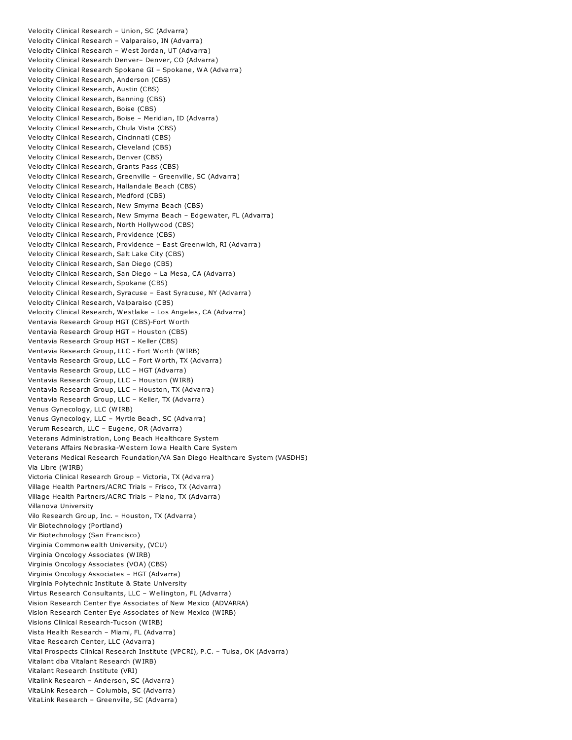Velocity Clinical Research – Union, SC (Advarra) Velocity Clinical Research – Valparaiso, IN (Advarra) Velocity Clinical Research – West Jordan, UT (Advarra) Velocity Clinical Research Denver– Denver, CO (Advarra) Velocity Clinical Research Spokane GI – Spokane, WA (Advarra) Velocity Clinical Research, Anderson (CBS) Velocity Clinical Research, Austin (CBS) Velocity Clinical Research, Banning (CBS) Velocity Clinical Research, Boise (CBS) Velocity Clinical Research, Boise – Meridian, ID (Advarra) Velocity Clinical Research, Chula Vista (CBS) Velocity Clinical Research, Cincinnati (CBS) Velocity Clinical Research, Cleveland (CBS) Velocity Clinical Research, Denver (CBS) Velocity Clinical Research, Grants Pass (CBS) Velocity Clinical Research, Greenville – Greenville, SC (Advarra) Velocity Clinical Research, Hallandale Beach (CBS) Velocity Clinical Research, Medford (CBS) Velocity Clinical Research, New Smyrna Beach (CBS) Velocity Clinical Research, New Smyrna Beach – Edgewater, FL (Advarra) Velocity Clinical Research, North Hollywood (CBS) Velocity Clinical Research, Providence (CBS) Velocity Clinical Research, Providence – East Greenwich, RI (Advarra) Velocity Clinical Research, Salt Lake City (CBS) Velocity Clinical Research, San Diego (CBS) Velocity Clinical Research, San Diego – La Mesa, CA (Advarra) Velocity Clinical Research, Spokane (CBS) Velocity Clinical Research, Syracuse – East Syracuse, NY (Advarra) Velocity Clinical Research, Valparaiso (CBS) Velocity Clinical Research, Westlake – Los Angeles, CA (Advarra) Ventavia Research Group HGT (CBS)-Fort Worth Ventavia Research Group HGT – Houston (CBS) Ventavia Research Group HGT – Keller (CBS) Ventavia Research Group, LLC - Fort Worth (WIRB) Ventavia Research Group, LLC – Fort Worth, TX (Advarra) Ventavia Research Group, LLC – HGT (Advarra) Ventavia Research Group, LLC – Houston (WIRB) Ventavia Research Group, LLC – Houston, TX (Advarra) Ventavia Research Group, LLC – Keller, TX (Advarra) Venus Gynecology, LLC (WIRB) Venus Gynecology, LLC – Myrtle Beach, SC (Advarra) Verum Research, LLC – Eugene, OR (Advarra) Veterans Administration, Long Beach Healthcare System Veterans Affairs Nebraska-Western Iowa Health Care System Veterans Medical Research Foundation/VA San Diego Healthcare System (VASDHS) Via Libre (WIRB) Victoria Clinical Research Group – Victoria, TX (Advarra) Village Health Partners/ACRC Trials – Frisco, TX (Advarra) Village Health Partners/ACRC Trials – Plano, TX (Advarra) Villanova University Vilo Research Group, Inc. – Houston, TX (Advarra) Vir Biotechnology (Portland) Vir Biotechnology (San Francisco) Virginia Commonwealth University, (VCU) Virginia Oncology Associates (WIRB) Virginia Oncology Associates (VOA) (CBS) Virginia Oncology Associates – HGT (Advarra) Virginia Polytechnic Institute & State University Virtus Research Consultants, LLC – Wellington, FL (Advarra) Vision Research Center Eye Associates of New Mexico (ADVARRA) Vision Research Center Eye Associates of New Mexico (WIRB) Visions Clinical Research-Tucson (WIRB) Vista Health Research – Miami, FL (Advarra) Vitae Research Center, LLC (Advarra) Vital Prospects Clinical Research Institute (VPCRI), P.C. – Tulsa, OK (Advarra) Vitalant dba Vitalant Research (WIRB) Vitalant Research Institute (VRI) Vitalink Research – Anderson, SC (Advarra) VitaLink Research – Columbia, SC (Advarra) VitaLink Research – Greenville, SC (Advarra)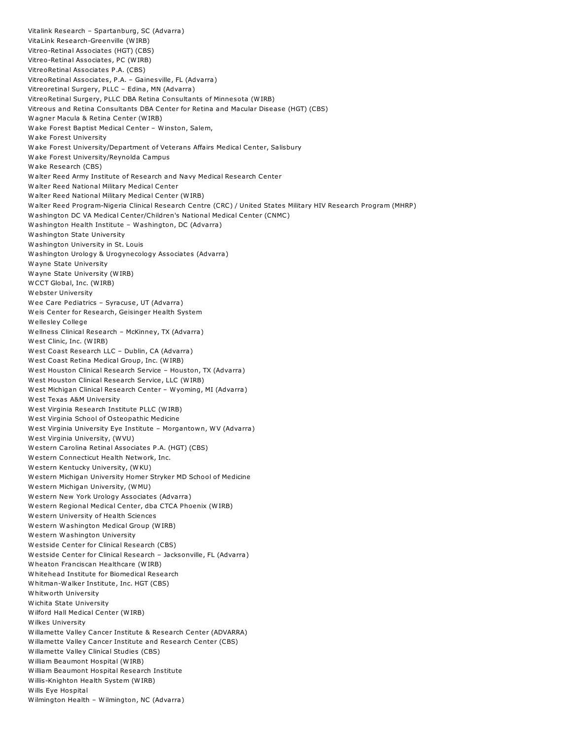Vitalink Research – Spartanburg, SC (Advarra) VitaLink Research-Greenville (WIRB) Vitreo-Retinal Associates (HGT) (CBS) Vitreo-Retinal Associates, PC (WIRB) VitreoRetinal Associates P.A. (CBS) VitreoRetinal Associates, P.A. – Gainesville, FL (Advarra) Vitreoretinal Surgery, PLLC – Edina, MN (Advarra) VitreoRetinal Surgery, PLLC DBA Retina Consultants of Minnesota (WIRB) Vitreous and Retina Consultants DBA Center for Retina and Macular Disease (HGT) (CBS) Wagner Macula & Retina Center (WIRB) Wake Forest Baptist Medical Center – Winston, Salem, Wake Forest University Wake Forest University/Department of Veterans Affairs Medical Center, Salisbury Wake Forest University/Reynolda Campus Wake Research (CBS) Walter Reed Army Institute of Research and Navy Medical Research Center Walter Reed National Military Medical Center Walter Reed National Military Medical Center (WIRB) Walter Reed Program-Nigeria Clinical Research Centre (CRC) / United States Military HIV Research Program (MHRP) Washington DC VA Medical Center/Children's National Medical Center (CNMC) Washington Health Institute – Washington, DC (Advarra) Washington State University Washington University in St. Louis Washington Urology & Urogynecology Associates (Advarra) Wayne State University Wayne State University (WIRB) WCCT Global, Inc. (WIRB) Webster University Wee Care Pediatrics – Syracuse, UT (Advarra) Weis Center for Research, Geisinger Health System Wellesley College Wellness Clinical Research – McKinney, TX (Advarra) West Clinic, Inc. (WIRB) West Coast Research LLC – Dublin, CA (Advarra) West Coast Retina Medical Group, Inc. (WIRB) West Houston Clinical Research Service – Houston, TX (Advarra) West Houston Clinical Research Service, LLC (WIRB) West Michigan Clinical Research Center – Wyoming, MI (Advarra) West Texas A&M University West Virginia Research Institute PLLC (WIRB) West Virginia School of Osteopathic Medicine West Virginia University Eye Institute – Morgantown, WV (Advarra) West Virginia University, (WVU) Western Carolina Retinal Associates P.A. (HGT) (CBS) Western Connecticut Health Network, Inc. Western Kentucky University, (WKU) Western Michigan University Homer Stryker MD School of Medicine Western Michigan University, (WMU) Western New York Urology Associates (Advarra) Western Regional Medical Center, dba CTCA Phoenix (WIRB) Western University of Health Sciences Western Washington Medical Group (WIRB) Western Washington University Westside Center for Clinical Research (CBS) Westside Center for Clinical Research – Jacksonville, FL (Advarra) Wheaton Franciscan Healthcare (WIRB) Whitehead Institute for Biomedical Research Whitman-Walker Institute, Inc. HGT (CBS) Whitworth University Wichita State University Wilford Hall Medical Center (WIRB) Wilkes University Willamette Valley Cancer Institute & Research Center (ADVARRA) Willamette Valley Cancer Institute and Research Center (CBS) Willamette Valley Clinical Studies (CBS) William Beaumont Hospital (WIRB) William Beaumont Hospital Research Institute Willis-Knighton Health System (WIRB) Wills Eye Hospital Wilmington Health – Wilmington, NC (Advarra)